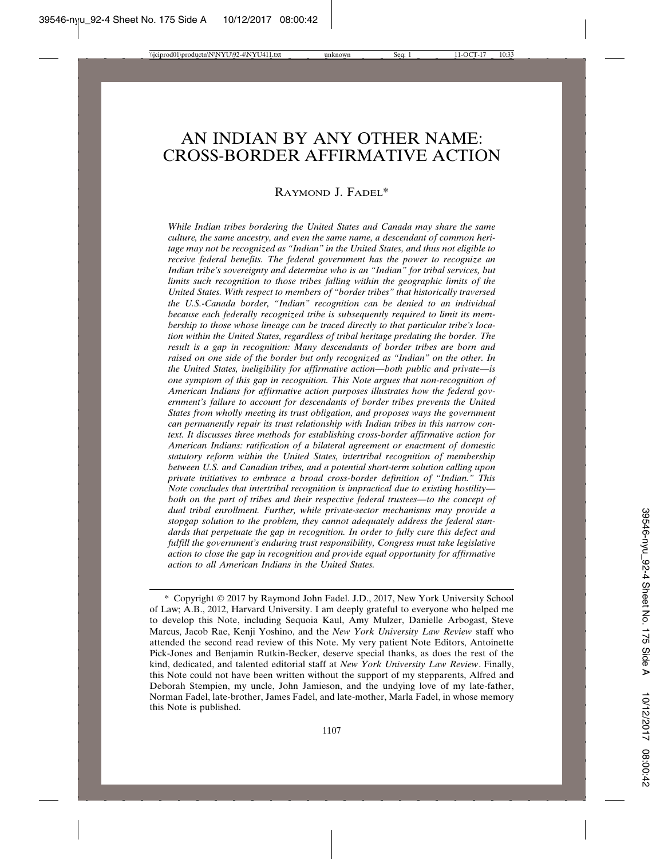# AN INDIAN BY ANY OTHER NAME: CROSS-BORDER AFFIRMATIVE ACTION

### RAYMOND J. FADEL\*

*While Indian tribes bordering the United States and Canada may share the same culture, the same ancestry, and even the same name, a descendant of common heritage may not be recognized as "Indian" in the United States, and thus not eligible to receive federal benefits. The federal government has the power to recognize an Indian tribe's sovereignty and determine who is an "Indian" for tribal services, but limits such recognition to those tribes falling within the geographic limits of the United States. With respect to members of "border tribes" that historically traversed the U.S.-Canada border, "Indian" recognition can be denied to an individual because each federally recognized tribe is subsequently required to limit its membership to those whose lineage can be traced directly to that particular tribe's location within the United States, regardless of tribal heritage predating the border. The result is a gap in recognition: Many descendants of border tribes are born and raised on one side of the border but only recognized as "Indian" on the other. In the United States, ineligibility for affirmative action—both public and private—is one symptom of this gap in recognition. This Note argues that non-recognition of American Indians for affirmative action purposes illustrates how the federal government's failure to account for descendants of border tribes prevents the United States from wholly meeting its trust obligation, and proposes ways the government can permanently repair its trust relationship with Indian tribes in this narrow context. It discusses three methods for establishing cross-border affirmative action for American Indians: ratification of a bilateral agreement or enactment of domestic statutory reform within the United States, intertribal recognition of membership between U.S. and Canadian tribes, and a potential short-term solution calling upon private initiatives to embrace a broad cross-border definition of "Indian." This Note concludes that intertribal recognition is impractical due to existing hostility both on the part of tribes and their respective federal trustees—to the concept of dual tribal enrollment. Further, while private-sector mechanisms may provide a stopgap solution to the problem, they cannot adequately address the federal standards that perpetuate the gap in recognition. In order to fully cure this defect and fulfill the government's enduring trust responsibility, Congress must take legislative action to close the gap in recognition and provide equal opportunity for affirmative action to all American Indians in the United States.*

<sup>\*</sup> Copyright © 2017 by Raymond John Fadel. J.D., 2017, New York University School of Law; A.B., 2012, Harvard University. I am deeply grateful to everyone who helped me to develop this Note, including Sequoia Kaul, Amy Mulzer, Danielle Arbogast, Steve Marcus, Jacob Rae, Kenji Yoshino, and the *New York University Law Review* staff who attended the second read review of this Note. My very patient Note Editors, Antoinette Pick-Jones and Benjamin Rutkin-Becker, deserve special thanks, as does the rest of the kind, dedicated, and talented editorial staff at *New York University Law Review*. Finally, this Note could not have been written without the support of my stepparents, Alfred and Deborah Stempien, my uncle, John Jamieson, and the undying love of my late-father, Norman Fadel, late-brother, James Fadel, and late-mother, Marla Fadel, in whose memory this Note is published.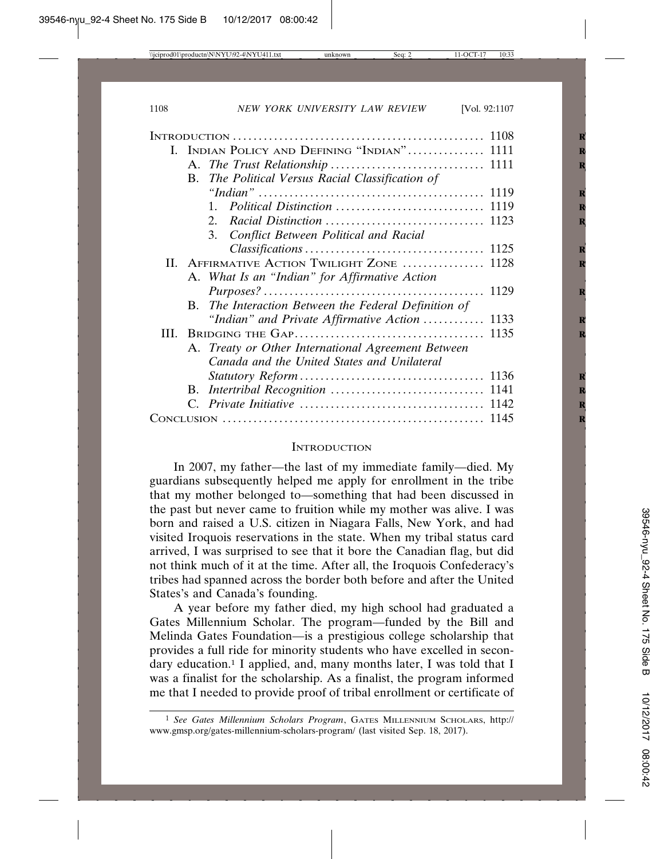|    | I. INDIAN POLICY AND DEFINING "INDIAN" 1111          |  |
|----|------------------------------------------------------|--|
|    |                                                      |  |
|    | B. The Political Versus Racial Classification of     |  |
|    |                                                      |  |
|    | $1_{-}$                                              |  |
|    | $2^{\circ}$                                          |  |
|    | 3. Conflict Between Political and Racial             |  |
|    |                                                      |  |
|    | II. AFFIRMATIVE ACTION TWILIGHT ZONE  1128           |  |
|    | A. What Is an "Indian" for Affirmative Action        |  |
|    |                                                      |  |
|    | B. The Interaction Between the Federal Definition of |  |
|    | "Indian" and Private Affirmative Action  1133        |  |
| Ш. |                                                      |  |
|    | A. Treaty or Other International Agreement Between   |  |
|    | Canada and the United States and Unilateral          |  |
|    |                                                      |  |
|    |                                                      |  |
|    |                                                      |  |
|    |                                                      |  |
|    |                                                      |  |

#### **INTRODUCTION**

In 2007, my father—the last of my immediate family—died. My guardians subsequently helped me apply for enrollment in the tribe that my mother belonged to—something that had been discussed in the past but never came to fruition while my mother was alive. I was born and raised a U.S. citizen in Niagara Falls, New York, and had visited Iroquois reservations in the state. When my tribal status card arrived, I was surprised to see that it bore the Canadian flag, but did not think much of it at the time. After all, the Iroquois Confederacy's tribes had spanned across the border both before and after the United States's and Canada's founding.

A year before my father died, my high school had graduated a Gates Millennium Scholar. The program—funded by the Bill and Melinda Gates Foundation—is a prestigious college scholarship that provides a full ride for minority students who have excelled in secondary education.<sup>1</sup> I applied, and, many months later, I was told that I was a finalist for the scholarship. As a finalist, the program informed me that I needed to provide proof of tribal enrollment or certificate of

<sup>1</sup> *See Gates Millennium Scholars Program*, GATES MILLENNIUM SCHOLARS, http:// www.gmsp.org/gates-millennium-scholars-program/ (last visited Sep. 18, 2017).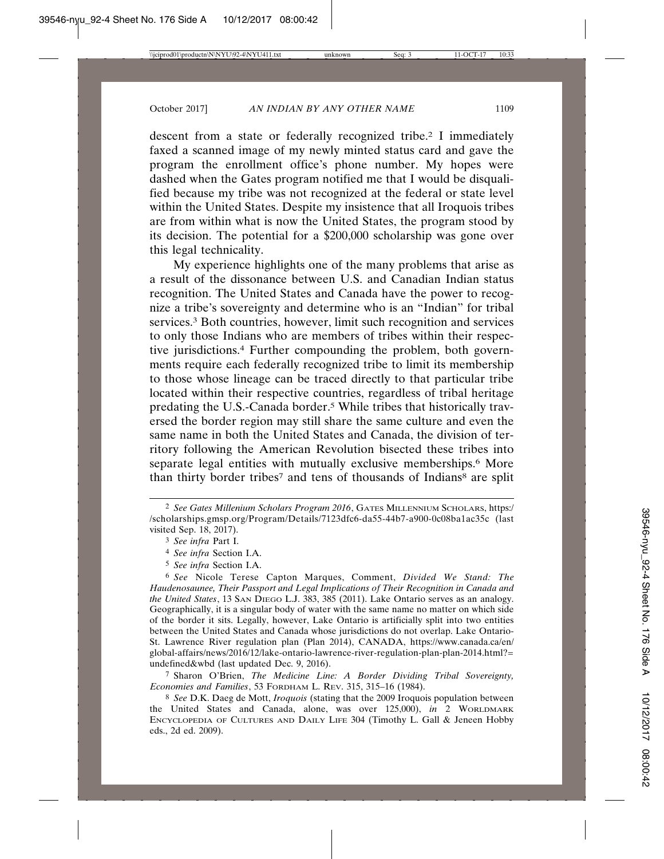descent from a state or federally recognized tribe.<sup>2</sup> I immediately faxed a scanned image of my newly minted status card and gave the program the enrollment office's phone number. My hopes were dashed when the Gates program notified me that I would be disqualified because my tribe was not recognized at the federal or state level within the United States. Despite my insistence that all Iroquois tribes are from within what is now the United States, the program stood by its decision. The potential for a \$200,000 scholarship was gone over this legal technicality.

My experience highlights one of the many problems that arise as a result of the dissonance between U.S. and Canadian Indian status recognition. The United States and Canada have the power to recognize a tribe's sovereignty and determine who is an "Indian" for tribal services.<sup>3</sup> Both countries, however, limit such recognition and services to only those Indians who are members of tribes within their respective jurisdictions.4 Further compounding the problem, both governments require each federally recognized tribe to limit its membership to those whose lineage can be traced directly to that particular tribe located within their respective countries, regardless of tribal heritage predating the U.S.-Canada border.<sup>5</sup> While tribes that historically traversed the border region may still share the same culture and even the same name in both the United States and Canada, the division of territory following the American Revolution bisected these tribes into separate legal entities with mutually exclusive memberships.<sup>6</sup> More than thirty border tribes<sup>7</sup> and tens of thousands of Indians<sup>8</sup> are split

7 Sharon O'Brien, *The Medicine Line: A Border Dividing Tribal Sovereignty, Economies and Families*, 53 FORDHAM L. REV. 315, 315–16 (1984).

8 *See* D.K. Daeg de Mott, *Iroquois* (stating that the 2009 Iroquois population between the United States and Canada, alone, was over 125,000), *in* 2 WORLDMARK ENCYCLOPEDIA OF CULTURES AND DAILY LIFE 304 (Timothy L. Gall & Jeneen Hobby eds., 2d ed. 2009).

<sup>2</sup> *See Gates Millenium Scholars Program 2016*, GATES MILLENNIUM SCHOLARS, https:/ /scholarships.gmsp.org/Program/Details/7123dfc6-da55-44b7-a900-0c08ba1ac35c (last visited Sep. 18, 2017).

<sup>3</sup> *See infra* Part I.

<sup>4</sup> *See infra* Section I.A.

<sup>5</sup> *See infra* Section I.A.

<sup>6</sup> *See* Nicole Terese Capton Marques, Comment, *Divided We Stand: The Haudenosaunee, Their Passport and Legal Implications of Their Recognition in Canada and the United States*, 13 SAN DIEGO L.J. 383, 385 (2011). Lake Ontario serves as an analogy. Geographically, it is a singular body of water with the same name no matter on which side of the border it sits. Legally, however, Lake Ontario is artificially split into two entities between the United States and Canada whose jurisdictions do not overlap. Lake Ontario-St. Lawrence River regulation plan (Plan 2014), CANADA, https://www.canada.ca/en/ global-affairs/news/2016/12/lake-ontario-lawrence-river-regulation-plan-plan-2014.html?= undefined&wbd (last updated Dec. 9, 2016).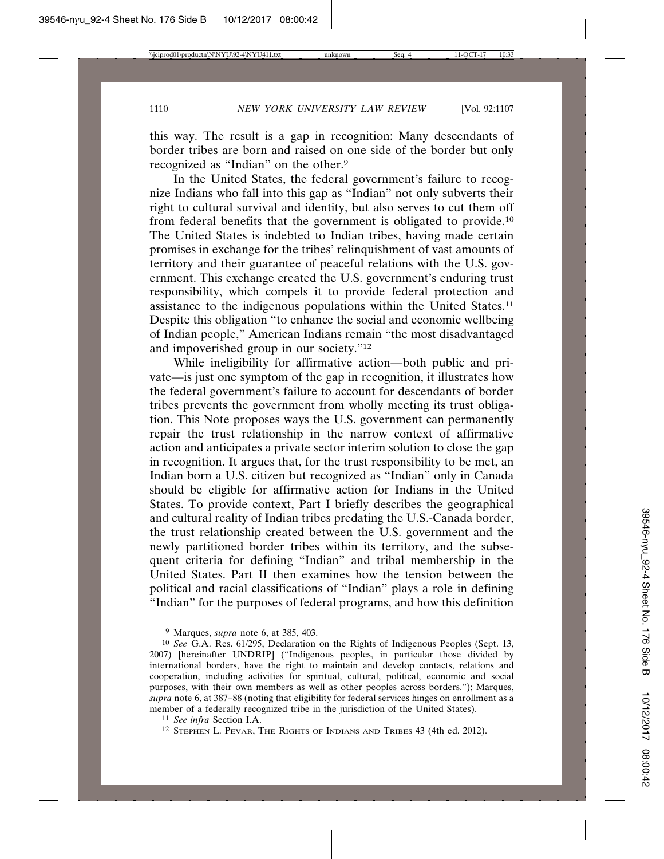this way. The result is a gap in recognition: Many descendants of border tribes are born and raised on one side of the border but only recognized as "Indian" on the other.9

In the United States, the federal government's failure to recognize Indians who fall into this gap as "Indian" not only subverts their right to cultural survival and identity, but also serves to cut them off from federal benefits that the government is obligated to provide.10 The United States is indebted to Indian tribes, having made certain promises in exchange for the tribes' relinquishment of vast amounts of territory and their guarantee of peaceful relations with the U.S. government. This exchange created the U.S. government's enduring trust responsibility, which compels it to provide federal protection and assistance to the indigenous populations within the United States.11 Despite this obligation "to enhance the social and economic wellbeing of Indian people," American Indians remain "the most disadvantaged and impoverished group in our society."12

While ineligibility for affirmative action—both public and private—is just one symptom of the gap in recognition, it illustrates how the federal government's failure to account for descendants of border tribes prevents the government from wholly meeting its trust obligation. This Note proposes ways the U.S. government can permanently repair the trust relationship in the narrow context of affirmative action and anticipates a private sector interim solution to close the gap in recognition. It argues that, for the trust responsibility to be met, an Indian born a U.S. citizen but recognized as "Indian" only in Canada should be eligible for affirmative action for Indians in the United States. To provide context, Part I briefly describes the geographical and cultural reality of Indian tribes predating the U.S.-Canada border, the trust relationship created between the U.S. government and the newly partitioned border tribes within its territory, and the subsequent criteria for defining "Indian" and tribal membership in the United States. Part II then examines how the tension between the political and racial classifications of "Indian" plays a role in defining "Indian" for the purposes of federal programs, and how this definition

<sup>9</sup> Marques, *supra* note 6, at 385, 403.

<sup>10</sup> *See* G.A. Res. 61/295, Declaration on the Rights of Indigenous Peoples (Sept. 13, 2007) [hereinafter UNDRIP] ("Indigenous peoples, in particular those divided by international borders, have the right to maintain and develop contacts, relations and cooperation, including activities for spiritual, cultural, political, economic and social purposes, with their own members as well as other peoples across borders."); Marques, *supra* note 6, at 387–88 (noting that eligibility for federal services hinges on enrollment as a member of a federally recognized tribe in the jurisdiction of the United States).

<sup>11</sup> *See infra* Section I.A.

<sup>12</sup> STEPHEN L. PEVAR, THE RIGHTS OF INDIANS AND TRIBES 43 (4th ed. 2012).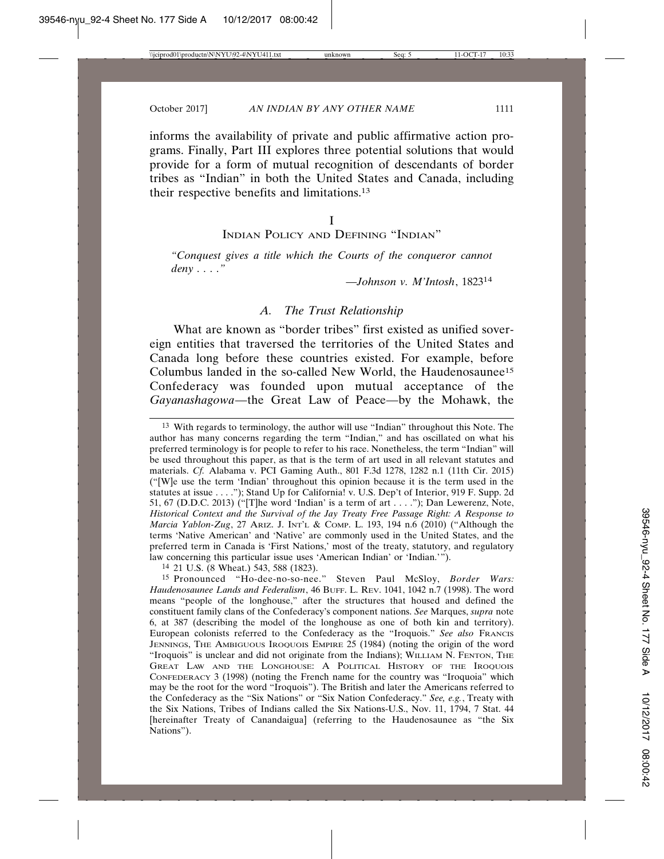informs the availability of private and public affirmative action programs. Finally, Part III explores three potential solutions that would provide for a form of mutual recognition of descendants of border tribes as "Indian" in both the United States and Canada, including their respective benefits and limitations.13

I

INDIAN POLICY AND DEFINING "INDIAN"

*"Conquest gives a title which the Courts of the conqueror cannot deny . . . ."*

*—Johnson v. M'Intosh*, 1823<sup>14</sup>

### *A. The Trust Relationship*

What are known as "border tribes" first existed as unified sovereign entities that traversed the territories of the United States and Canada long before these countries existed. For example, before Columbus landed in the so-called New World, the Haudenosaunee15 Confederacy was founded upon mutual acceptance of the *Gayanashagowa*—the Great Law of Peace—by the Mohawk, the

14 21 U.S. (8 Wheat.) 543, 588 (1823).

<sup>13</sup> With regards to terminology, the author will use "Indian" throughout this Note. The author has many concerns regarding the term "Indian," and has oscillated on what his preferred terminology is for people to refer to his race. Nonetheless, the term "Indian" will be used throughout this paper, as that is the term of art used in all relevant statutes and materials. *Cf.* Alabama v. PCI Gaming Auth., 801 F.3d 1278, 1282 n.1 (11th Cir. 2015) ("[W]e use the term 'Indian' throughout this opinion because it is the term used in the statutes at issue . . . ."); Stand Up for California! v. U.S. Dep't of Interior, 919 F. Supp. 2d 51, 67 (D.D.C. 2013) ("[T]he word 'Indian' is a term of art . . . ."); Dan Lewerenz, Note, *Historical Context and the Survival of the Jay Treaty Free Passage Right: A Response to Marcia Yablon-Zug*, 27 ARIZ. J. INT'L & COMP. L. 193, 194 n.6 (2010) ("Although the terms 'Native American' and 'Native' are commonly used in the United States, and the preferred term in Canada is 'First Nations,' most of the treaty, statutory, and regulatory law concerning this particular issue uses 'American Indian' or 'Indian.'").

<sup>15</sup> Pronounced "Ho-dee-no-so-nee." Steven Paul McSloy, *Border Wars: Haudenosaunee Lands and Federalism*, 46 BUFF. L. REV. 1041, 1042 n.7 (1998). The word means "people of the longhouse," after the structures that housed and defined the constituent family clans of the Confederacy's component nations. *See* Marques, *supra* note 6, at 387 (describing the model of the longhouse as one of both kin and territory). European colonists referred to the Confederacy as the "Iroquois." *See also* FRANCIS JENNINGS, THE AMBIGUOUS IROQUOIS EMPIRE 25 (1984) (noting the origin of the word "Iroquois" is unclear and did not originate from the Indians); WILLIAM N. FENTON, THE GREAT LAW AND THE LONGHOUSE: A POLITICAL HISTORY OF THE IROQUOIS CONFEDERACY 3 (1998) (noting the French name for the country was "Iroquoia" which may be the root for the word "Iroquois"). The British and later the Americans referred to the Confederacy as the "Six Nations" or "Six Nation Confederacy." *See, e.g.*, Treaty with the Six Nations, Tribes of Indians called the Six Nations-U.S., Nov. 11, 1794, 7 Stat. 44 [hereinafter Treaty of Canandaigua] (referring to the Haudenosaunee as "the Six Nations").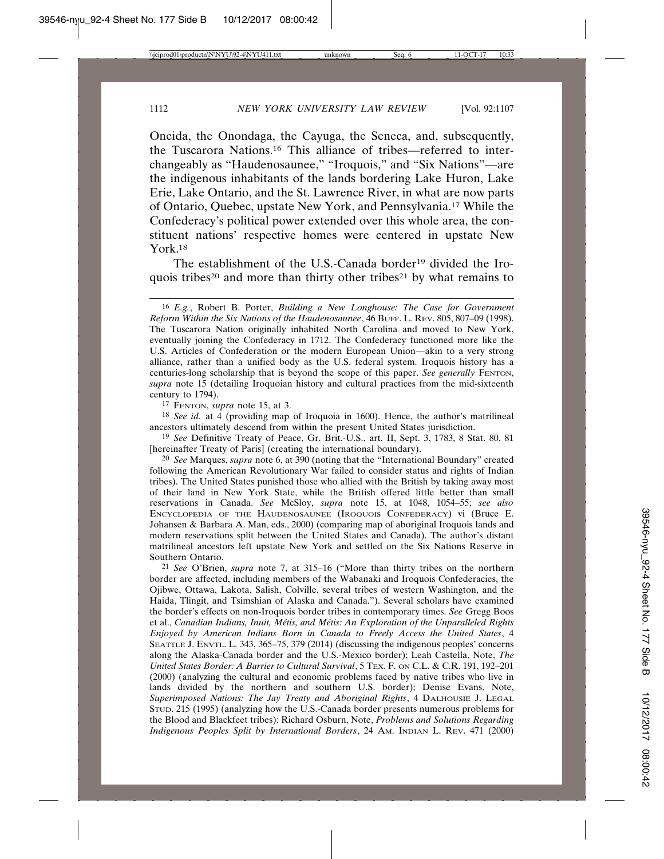Oneida, the Onondaga, the Cayuga, the Seneca, and, subsequently, the Tuscarora Nations.16 This alliance of tribes—referred to interchangeably as "Haudenosaunee," "Iroquois," and "Six Nations"—are the indigenous inhabitants of the lands bordering Lake Huron, Lake Erie, Lake Ontario, and the St. Lawrence River, in what are now parts of Ontario, Quebec, upstate New York, and Pennsylvania.17 While the Confederacy's political power extended over this whole area, the constituent nations' respective homes were centered in upstate New York.18

The establishment of the U.S.-Canada border<sup>19</sup> divided the Iroquois tribes<sup>20</sup> and more than thirty other tribes<sup>21</sup> by what remains to

17 FENTON, *supra* note 15, at 3.

18 *See id.* at 4 (providing map of Iroquoia in 1600). Hence, the author's matrilineal ancestors ultimately descend from within the present United States jurisdiction.

19 *See* Definitive Treaty of Peace, Gr. Brit.-U.S., art. II, Sept. 3, 1783, 8 Stat. 80, 81 [hereinafter Treaty of Paris] (creating the international boundary).

20 *See* Marques, *supra* note 6, at 390 (noting that the "International Boundary" created following the American Revolutionary War failed to consider status and rights of Indian tribes). The United States punished those who allied with the British by taking away most of their land in New York State, while the British offered little better than small reservations in Canada. *See* McSloy, *supra* note 15, at 1048, 1054–55; *see also* ENCYCLOPEDIA OF THE HAUDENOSAUNEE (IROQUOIS CONFEDERACY) vi (Bruce E. Johansen & Barbara A. Man, eds., 2000) (comparing map of aboriginal Iroquois lands and modern reservations split between the United States and Canada). The author's distant matrilineal ancestors left upstate New York and settled on the Six Nations Reserve in Southern Ontario.

21 *See* O'Brien, *supra* note 7, at 315–16 ("More than thirty tribes on the northern border are affected, including members of the Wabanaki and Iroquois Confederacies, the Ojibwe, Ottawa, Lakota, Salish, Colville, several tribes of western Washington, and the Haida, Tlingit, and Tsimshian of Alaska and Canada."). Several scholars have examined the border's effects on non-Iroquois border tribes in contemporary times. *See* Gregg Boos et al., *Canadian Indians, Inuit, Métis, and Métis: An Exploration of the Unparalleled Rights Enjoyed by American Indians Born in Canada to Freely Access the United States*, 4 SEATTLE J. ENVTL. L. 343, 365–75, 379 (2014) (discussing the indigenous peoples' concerns along the Alaska-Canada border and the U.S.-Mexico border); Leah Castella, Note, *The United States Border: A Barrier to Cultural Survival*, 5 TEX. F. ON C.L. & C.R. 191, 192–201 (2000) (analyzing the cultural and economic problems faced by native tribes who live in lands divided by the northern and southern U.S. border); Denise Evans, Note, *Superimposed Nations: The Jay Treaty and Aboriginal Rights*, 4 DALHOUSIE J. LEGAL STUD. 215 (1995) (analyzing how the U.S.-Canada border presents numerous problems for the Blood and Blackfeet tribes); Richard Osburn, Note, *Problems and Solutions Regarding Indigenous Peoples Split by International Borders*, 24 AM. INDIAN L. REV. 471 (2000)

<sup>16</sup> *E.g.*, Robert B. Porter, *Building a New Longhouse: The Case for Government Reform Within the Six Nations of the Haudenosaunee*, 46 BUFF. L. REV. 805, 807–09 (1998). The Tuscarora Nation originally inhabited North Carolina and moved to New York, eventually joining the Confederacy in 1712. The Confederacy functioned more like the U.S. Articles of Confederation or the modern European Union—akin to a very strong alliance, rather than a unified body as the U.S. federal system. Iroquois history has a centuries-long scholarship that is beyond the scope of this paper. *See generally* FENTON, *supra* note 15 (detailing Iroquoian history and cultural practices from the mid-sixteenth century to 1794).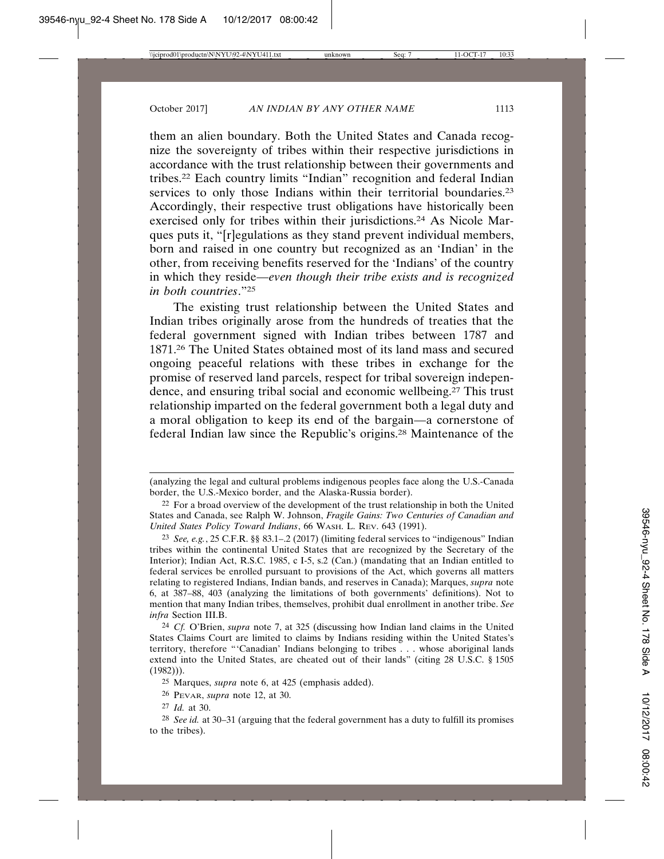them an alien boundary. Both the United States and Canada recognize the sovereignty of tribes within their respective jurisdictions in accordance with the trust relationship between their governments and tribes.22 Each country limits "Indian" recognition and federal Indian services to only those Indians within their territorial boundaries.<sup>23</sup> Accordingly, their respective trust obligations have historically been exercised only for tribes within their jurisdictions.<sup>24</sup> As Nicole Marques puts it, "[r]egulations as they stand prevent individual members, born and raised in one country but recognized as an 'Indian' in the other, from receiving benefits reserved for the 'Indians' of the country in which they reside—*even though their tribe exists and is recognized in both countries*."25

The existing trust relationship between the United States and Indian tribes originally arose from the hundreds of treaties that the federal government signed with Indian tribes between 1787 and 1871.26 The United States obtained most of its land mass and secured ongoing peaceful relations with these tribes in exchange for the promise of reserved land parcels, respect for tribal sovereign independence, and ensuring tribal social and economic wellbeing.27 This trust relationship imparted on the federal government both a legal duty and a moral obligation to keep its end of the bargain—a cornerstone of federal Indian law since the Republic's origins.28 Maintenance of the

<sup>(</sup>analyzing the legal and cultural problems indigenous peoples face along the U.S.-Canada border, the U.S.-Mexico border, and the Alaska-Russia border).

<sup>22</sup> For a broad overview of the development of the trust relationship in both the United States and Canada, see Ralph W. Johnson, *Fragile Gains: Two Centuries of Canadian and United States Policy Toward Indians*, 66 WASH. L. REV. 643 (1991).

<sup>23</sup> *See, e.g.*, 25 C.F.R. §§ 83.1–.2 (2017) (limiting federal services to "indigenous" Indian tribes within the continental United States that are recognized by the Secretary of the Interior); Indian Act, R.S.C. 1985, c I-5, s.2 (Can.) (mandating that an Indian entitled to federal services be enrolled pursuant to provisions of the Act, which governs all matters relating to registered Indians, Indian bands, and reserves in Canada); Marques, *supra* note 6, at 387–88, 403 (analyzing the limitations of both governments' definitions). Not to mention that many Indian tribes, themselves, prohibit dual enrollment in another tribe. *See infra* Section III.B.

<sup>24</sup> *Cf.* O'Brien, *supra* note 7, at 325 (discussing how Indian land claims in the United States Claims Court are limited to claims by Indians residing within the United States's territory, therefore "'Canadian' Indians belonging to tribes . . . whose aboriginal lands extend into the United States, are cheated out of their lands" (citing 28 U.S.C. § 1505  $(1982)$ ).

<sup>25</sup> Marques, *supra* note 6, at 425 (emphasis added).

<sup>26</sup> PEVAR, *supra* note 12, at 30.

<sup>27</sup> *Id.* at 30.

<sup>28</sup> *See id.* at 30–31 (arguing that the federal government has a duty to fulfill its promises to the tribes).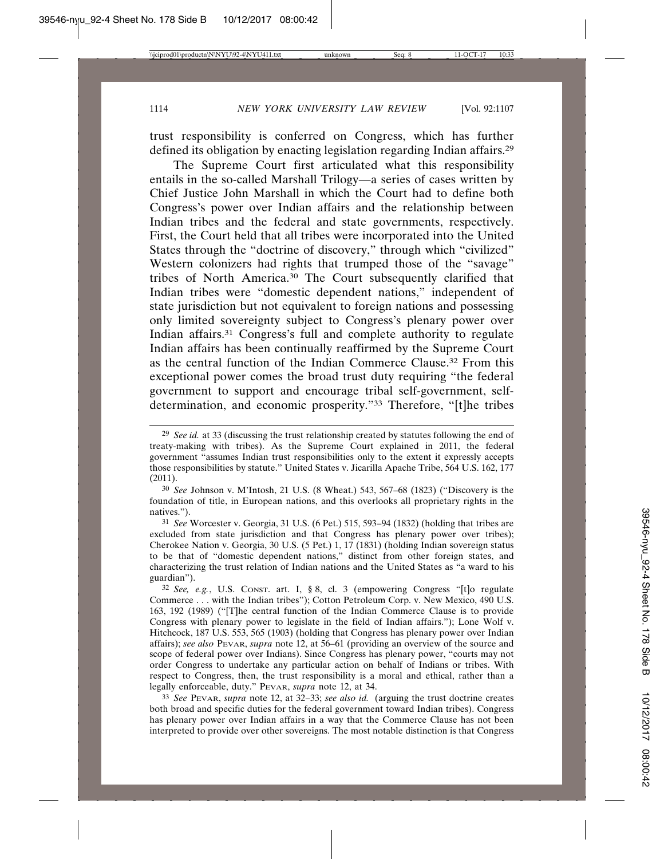trust responsibility is conferred on Congress, which has further defined its obligation by enacting legislation regarding Indian affairs.29

The Supreme Court first articulated what this responsibility entails in the so-called Marshall Trilogy—a series of cases written by Chief Justice John Marshall in which the Court had to define both Congress's power over Indian affairs and the relationship between Indian tribes and the federal and state governments, respectively. First, the Court held that all tribes were incorporated into the United States through the "doctrine of discovery," through which "civilized" Western colonizers had rights that trumped those of the "savage" tribes of North America.30 The Court subsequently clarified that Indian tribes were "domestic dependent nations," independent of state jurisdiction but not equivalent to foreign nations and possessing only limited sovereignty subject to Congress's plenary power over Indian affairs.31 Congress's full and complete authority to regulate Indian affairs has been continually reaffirmed by the Supreme Court as the central function of the Indian Commerce Clause.32 From this exceptional power comes the broad trust duty requiring "the federal government to support and encourage tribal self-government, selfdetermination, and economic prosperity."33 Therefore, "[t]he tribes

30 *See* Johnson v. M'Intosh, 21 U.S. (8 Wheat.) 543, 567–68 (1823) ("Discovery is the foundation of title, in European nations, and this overlooks all proprietary rights in the natives.").

31 *See* Worcester v. Georgia, 31 U.S. (6 Pet.) 515, 593–94 (1832) (holding that tribes are excluded from state jurisdiction and that Congress has plenary power over tribes); Cherokee Nation v. Georgia, 30 U.S. (5 Pet.) 1, 17 (1831) (holding Indian sovereign status to be that of "domestic dependent nations," distinct from other foreign states, and characterizing the trust relation of Indian nations and the United States as "a ward to his guardian").

33 *See* PEVAR, *supra* note 12, at 32–33; *see also id.* (arguing the trust doctrine creates both broad and specific duties for the federal government toward Indian tribes). Congress has plenary power over Indian affairs in a way that the Commerce Clause has not been interpreted to provide over other sovereigns. The most notable distinction is that Congress

<sup>29</sup> *See id.* at 33 (discussing the trust relationship created by statutes following the end of treaty-making with tribes). As the Supreme Court explained in 2011, the federal government "assumes Indian trust responsibilities only to the extent it expressly accepts those responsibilities by statute." United States v. Jicarilla Apache Tribe, 564 U.S. 162, 177 (2011).

<sup>32</sup> *See, e.g.*, U.S. CONST. art. I, § 8, cl. 3 (empowering Congress "[t]o regulate Commerce . . . with the Indian tribes"); Cotton Petroleum Corp. v. New Mexico, 490 U.S. 163, 192 (1989) ("[T]he central function of the Indian Commerce Clause is to provide Congress with plenary power to legislate in the field of Indian affairs."); Lone Wolf v. Hitchcock, 187 U.S. 553, 565 (1903) (holding that Congress has plenary power over Indian affairs); *see also* PEVAR, *supra* note 12, at 56–61 (providing an overview of the source and scope of federal power over Indians). Since Congress has plenary power, "courts may not order Congress to undertake any particular action on behalf of Indians or tribes. With respect to Congress, then, the trust responsibility is a moral and ethical, rather than a legally enforceable, duty." PEVAR, *supra* note 12, at 34.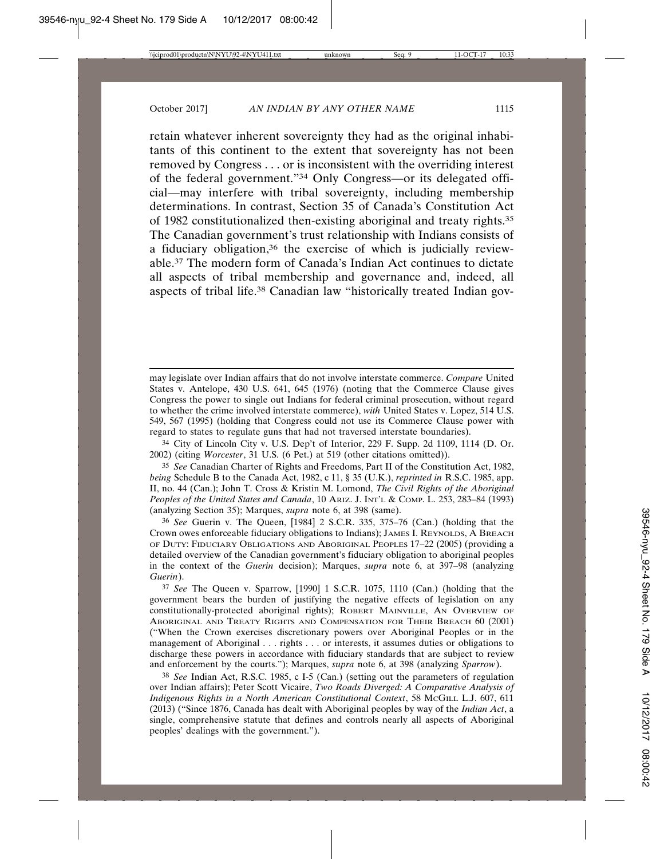retain whatever inherent sovereignty they had as the original inhabitants of this continent to the extent that sovereignty has not been removed by Congress . . . or is inconsistent with the overriding interest of the federal government."34 Only Congress—or its delegated official—may interfere with tribal sovereignty, including membership determinations. In contrast, Section 35 of Canada's Constitution Act of 1982 constitutionalized then-existing aboriginal and treaty rights.35 The Canadian government's trust relationship with Indians consists of a fiduciary obligation,36 the exercise of which is judicially reviewable.37 The modern form of Canada's Indian Act continues to dictate all aspects of tribal membership and governance and, indeed, all aspects of tribal life.38 Canadian law "historically treated Indian gov-

34 City of Lincoln City v. U.S. Dep't of Interior, 229 F. Supp. 2d 1109, 1114 (D. Or. 2002) (citing *Worcester*, 31 U.S. (6 Pet.) at 519 (other citations omitted)).

35 *See* Canadian Charter of Rights and Freedoms, Part II of the Constitution Act, 1982, *being* Schedule B to the Canada Act, 1982, c 11, § 35 (U.K.), *reprinted in* R.S.C. 1985, app. II, no. 44 (Can.); John T. Cross & Kristin M. Lomond, *The Civil Rights of the Aboriginal Peoples of the United States and Canada*, 10 ARIZ. J. INT'L & COMP. L. 253, 283–84 (1993) (analyzing Section 35); Marques, *supra* note 6, at 398 (same).

36 *See* Guerin v. The Queen, [1984] 2 S.C.R. 335, 375–76 (Can.) (holding that the Crown owes enforceable fiduciary obligations to Indians); JAMES I. REYNOLDS, A BREACH OF DUTY: FIDUCIARY OBLIGATIONS AND ABORIGINAL PEOPLES 17–22 (2005) (providing a detailed overview of the Canadian government's fiduciary obligation to aboriginal peoples in the context of the *Guerin* decision); Marques, *supra* note 6, at 397–98 (analyzing *Guerin*).

37 *See* The Queen v. Sparrow, [1990] 1 S.C.R. 1075, 1110 (Can.) (holding that the government bears the burden of justifying the negative effects of legislation on any constitutionally-protected aboriginal rights); ROBERT MAINVILLE, AN OVERVIEW OF ABORIGINAL AND TREATY RIGHTS AND COMPENSATION FOR THEIR BREACH 60 (2001) ("When the Crown exercises discretionary powers over Aboriginal Peoples or in the management of Aboriginal . . . rights . . . or interests, it assumes duties or obligations to discharge these powers in accordance with fiduciary standards that are subject to review and enforcement by the courts."); Marques, *supra* note 6, at 398 (analyzing *Sparrow*).

38 *See* Indian Act, R.S.C. 1985, c I-5 (Can.) (setting out the parameters of regulation over Indian affairs); Peter Scott Vicaire, *Two Roads Diverged: A Comparative Analysis of Indigenous Rights in a North American Constitutional Context*, 58 MCGILL L.J. 607, 611 (2013) ("Since 1876, Canada has dealt with Aboriginal peoples by way of the *Indian Act*, a single, comprehensive statute that defines and controls nearly all aspects of Aboriginal peoples' dealings with the government.").

may legislate over Indian affairs that do not involve interstate commerce. *Compare* United States v. Antelope, 430 U.S. 641, 645 (1976) (noting that the Commerce Clause gives Congress the power to single out Indians for federal criminal prosecution, without regard to whether the crime involved interstate commerce), *with* United States v. Lopez, 514 U.S. 549, 567 (1995) (holding that Congress could not use its Commerce Clause power with regard to states to regulate guns that had not traversed interstate boundaries).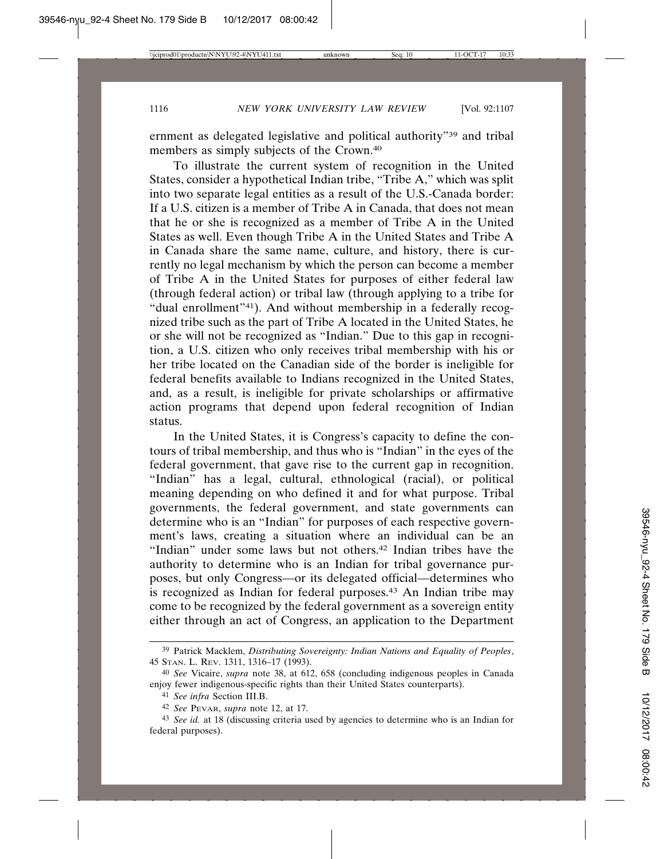ernment as delegated legislative and political authority"39 and tribal members as simply subjects of the Crown.<sup>40</sup>

To illustrate the current system of recognition in the United States, consider a hypothetical Indian tribe, "Tribe A," which was split into two separate legal entities as a result of the U.S.-Canada border: If a U.S. citizen is a member of Tribe A in Canada, that does not mean that he or she is recognized as a member of Tribe A in the United States as well. Even though Tribe A in the United States and Tribe A in Canada share the same name, culture, and history, there is currently no legal mechanism by which the person can become a member of Tribe A in the United States for purposes of either federal law (through federal action) or tribal law (through applying to a tribe for "dual enrollment"<sup>41</sup>). And without membership in a federally recognized tribe such as the part of Tribe A located in the United States, he or she will not be recognized as "Indian." Due to this gap in recognition, a U.S. citizen who only receives tribal membership with his or her tribe located on the Canadian side of the border is ineligible for federal benefits available to Indians recognized in the United States, and, as a result, is ineligible for private scholarships or affirmative action programs that depend upon federal recognition of Indian status.

In the United States, it is Congress's capacity to define the contours of tribal membership, and thus who is "Indian" in the eyes of the federal government, that gave rise to the current gap in recognition. "Indian" has a legal, cultural, ethnological (racial), or political meaning depending on who defined it and for what purpose. Tribal governments, the federal government, and state governments can determine who is an "Indian" for purposes of each respective government's laws, creating a situation where an individual can be an "Indian" under some laws but not others.<sup>42</sup> Indian tribes have the authority to determine who is an Indian for tribal governance purposes, but only Congress—or its delegated official—determines who is recognized as Indian for federal purposes.<sup>43</sup> An Indian tribe may come to be recognized by the federal government as a sovereign entity either through an act of Congress, an application to the Department

<sup>39</sup> Patrick Macklem, *Distributing Sovereignty: Indian Nations and Equality of Peoples*, 45 STAN. L. REV. 1311, 1316–17 (1993).

<sup>40</sup> *See* Vicaire, *supra* note 38, at 612, 658 (concluding indigenous peoples in Canada enjoy fewer indigenous-specific rights than their United States counterparts).

<sup>41</sup> *See infra* Section III.B.

<sup>42</sup> *See* PEVAR, *supra* note 12, at 17.

<sup>43</sup> *See id.* at 18 (discussing criteria used by agencies to determine who is an Indian for federal purposes).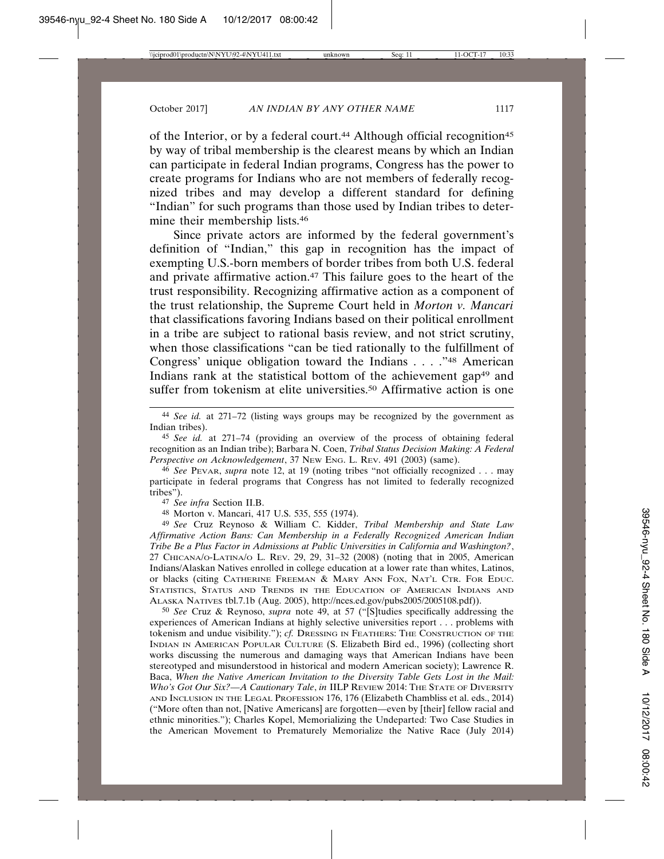of the Interior, or by a federal court.<sup>44</sup> Although official recognition<sup>45</sup> by way of tribal membership is the clearest means by which an Indian can participate in federal Indian programs, Congress has the power to create programs for Indians who are not members of federally recognized tribes and may develop a different standard for defining "Indian" for such programs than those used by Indian tribes to determine their membership lists.46

Since private actors are informed by the federal government's definition of "Indian," this gap in recognition has the impact of exempting U.S.-born members of border tribes from both U.S. federal and private affirmative action.47 This failure goes to the heart of the trust responsibility. Recognizing affirmative action as a component of the trust relationship, the Supreme Court held in *Morton v. Mancari* that classifications favoring Indians based on their political enrollment in a tribe are subject to rational basis review, and not strict scrutiny, when those classifications "can be tied rationally to the fulfillment of Congress' unique obligation toward the Indians . . . ."48 American Indians rank at the statistical bottom of the achievement gap<sup>49</sup> and suffer from tokenism at elite universities.<sup>50</sup> Affirmative action is one

44 *See id.* at 271–72 (listing ways groups may be recognized by the government as Indian tribes).

45 *See id.* at 271–74 (providing an overview of the process of obtaining federal recognition as an Indian tribe); Barbara N. Coen, *Tribal Status Decision Making: A Federal Perspective on Acknowledgement*, 37 NEW ENG. L. REV. 491 (2003) (same).

46 *See* PEVAR, *supra* note 12, at 19 (noting tribes "not officially recognized . . . may participate in federal programs that Congress has not limited to federally recognized tribes").

47 *See infra* Section II.B.

48 Morton v. Mancari, 417 U.S. 535, 555 (1974).

49 *See* Cruz Reynoso & William C. Kidder, *Tribal Membership and State Law Affirmative Action Bans: Can Membership in a Federally Recognized American Indian Tribe Be a Plus Factor in Admissions at Public Universities in California and Washington?*, 27 CHICANA/O-LATINA/O L. REV. 29, 29, 31–32 (2008) (noting that in 2005, American Indians/Alaskan Natives enrolled in college education at a lower rate than whites, Latinos, or blacks (citing CATHERINE FREEMAN & MARY ANN FOX, NAT'L CTR. FOR EDUC. STATISTICS, STATUS AND TRENDS IN THE EDUCATION OF AMERICAN INDIANS AND ALASKA NATIVES tbl.7.1b (Aug. 2005), http://nces.ed.gov/pubs2005/2005108.pdf)).

50 *See* Cruz & Reynoso, *supra* note 49, at 57 ("[S]tudies specifically addressing the experiences of American Indians at highly selective universities report . . . problems with tokenism and undue visibility."); *cf.* DRESSING IN FEATHERS: THE CONSTRUCTION OF THE INDIAN IN AMERICAN POPULAR CULTURE (S. Elizabeth Bird ed., 1996) (collecting short works discussing the numerous and damaging ways that American Indians have been stereotyped and misunderstood in historical and modern American society); Lawrence R. Baca, *When the Native American Invitation to the Diversity Table Gets Lost in the Mail: Who's Got Our Six?—A Cautionary Tale*, *in* IILP REVIEW 2014: THE STATE OF DIVERSITY AND INCLUSION IN THE LEGAL PROFESSION 176, 176 (Elizabeth Chambliss et al. eds., 2014) ("More often than not, [Native Americans] are forgotten—even by [their] fellow racial and ethnic minorities."); Charles Kopel, Memorializing the Undeparted: Two Case Studies in the American Movement to Prematurely Memorialize the Native Race (July 2014)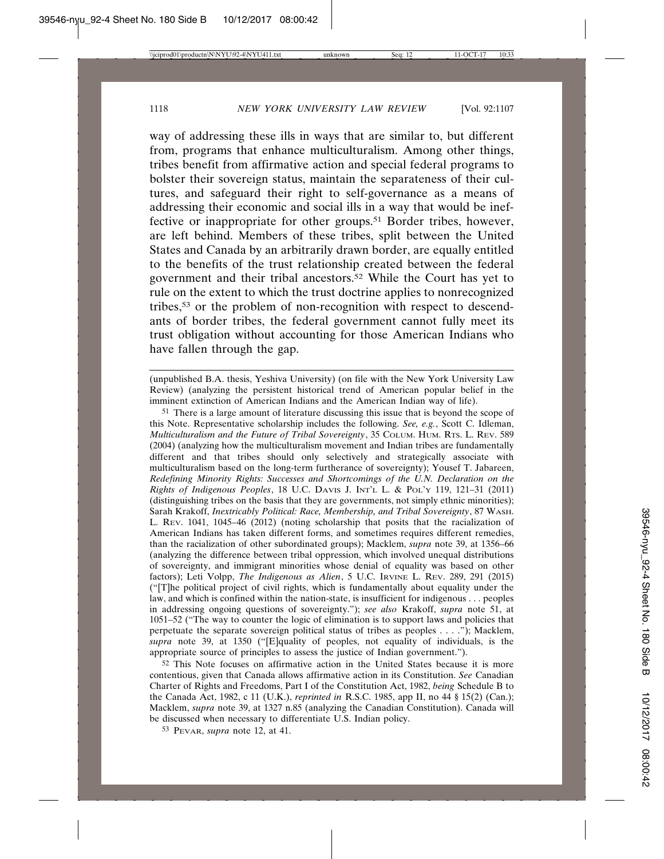way of addressing these ills in ways that are similar to, but different from, programs that enhance multiculturalism. Among other things, tribes benefit from affirmative action and special federal programs to bolster their sovereign status, maintain the separateness of their cultures, and safeguard their right to self-governance as a means of addressing their economic and social ills in a way that would be ineffective or inappropriate for other groups.51 Border tribes, however, are left behind. Members of these tribes, split between the United States and Canada by an arbitrarily drawn border, are equally entitled to the benefits of the trust relationship created between the federal government and their tribal ancestors.52 While the Court has yet to rule on the extent to which the trust doctrine applies to nonrecognized tribes,53 or the problem of non-recognition with respect to descendants of border tribes, the federal government cannot fully meet its trust obligation without accounting for those American Indians who have fallen through the gap.

51 There is a large amount of literature discussing this issue that is beyond the scope of this Note. Representative scholarship includes the following. *See, e.g.*, Scott C. Idleman, *Multiculturalism and the Future of Tribal Sovereignty*, 35 COLUM. HUM. RTS. L. REV. 589 (2004) (analyzing how the multiculturalism movement and Indian tribes are fundamentally different and that tribes should only selectively and strategically associate with multiculturalism based on the long-term furtherance of sovereignty); Yousef T. Jabareen, *Redefining Minority Rights: Successes and Shortcomings of the U.N. Declaration on the Rights of Indigenous Peoples*, 18 U.C. DAVIS J. INT'L L. & POL'Y 119, 121–31 (2011) (distinguishing tribes on the basis that they are governments, not simply ethnic minorities); Sarah Krakoff, *Inextricably Political: Race, Membership, and Tribal Sovereignty*, 87 WASH. L. REV. 1041, 1045–46 (2012) (noting scholarship that posits that the racialization of American Indians has taken different forms, and sometimes requires different remedies, than the racialization of other subordinated groups); Macklem, *supra* note 39, at 1356–66 (analyzing the difference between tribal oppression, which involved unequal distributions of sovereignty, and immigrant minorities whose denial of equality was based on other factors); Leti Volpp, *The Indigenous as Alien*, 5 U.C. IRVINE L. REV. 289, 291 (2015) ("[T]he political project of civil rights, which is fundamentally about equality under the law, and which is confined within the nation-state, is insufficient for indigenous . . . peoples in addressing ongoing questions of sovereignty."); *see also* Krakoff, *supra* note 51, at 1051–52 ("The way to counter the logic of elimination is to support laws and policies that perpetuate the separate sovereign political status of tribes as peoples . . . ."); Macklem, *supra* note 39, at 1350 ("[E]quality of peoples, not equality of individuals, is the appropriate source of principles to assess the justice of Indian government.").

52 This Note focuses on affirmative action in the United States because it is more contentious, given that Canada allows affirmative action in its Constitution. *See* Canadian Charter of Rights and Freedoms, Part I of the Constitution Act, 1982, *being* Schedule B to the Canada Act, 1982, c 11 (U.K.), *reprinted in* R.S.C. 1985, app II, no 44 § 15(2) (Can.); Macklem, *supra* note 39, at 1327 n.85 (analyzing the Canadian Constitution). Canada will be discussed when necessary to differentiate U.S. Indian policy.

53 PEVAR, *supra* note 12, at 41.

<sup>(</sup>unpublished B.A. thesis, Yeshiva University) (on file with the New York University Law Review) (analyzing the persistent historical trend of American popular belief in the imminent extinction of American Indians and the American Indian way of life).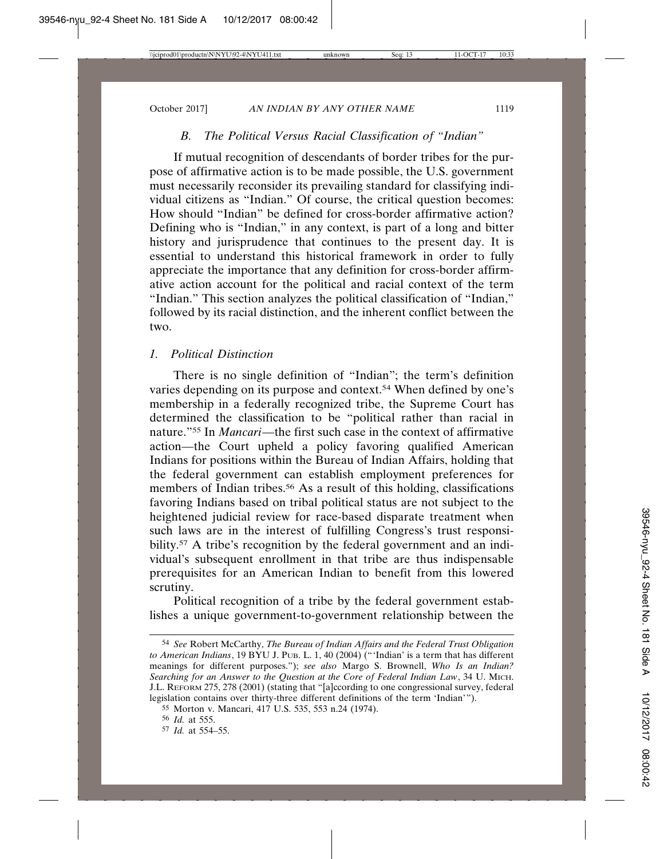# *B. The Political Versus Racial Classification of "Indian"*

If mutual recognition of descendants of border tribes for the purpose of affirmative action is to be made possible, the U.S. government must necessarily reconsider its prevailing standard for classifying individual citizens as "Indian." Of course, the critical question becomes: How should "Indian" be defined for cross-border affirmative action? Defining who is "Indian," in any context, is part of a long and bitter history and jurisprudence that continues to the present day. It is essential to understand this historical framework in order to fully appreciate the importance that any definition for cross-border affirmative action account for the political and racial context of the term "Indian." This section analyzes the political classification of "Indian," followed by its racial distinction, and the inherent conflict between the two.

### *1. Political Distinction*

There is no single definition of "Indian"; the term's definition varies depending on its purpose and context.<sup>54</sup> When defined by one's membership in a federally recognized tribe, the Supreme Court has determined the classification to be "political rather than racial in nature."55 In *Mancari*—the first such case in the context of affirmative action—the Court upheld a policy favoring qualified American Indians for positions within the Bureau of Indian Affairs, holding that the federal government can establish employment preferences for members of Indian tribes.<sup>56</sup> As a result of this holding, classifications favoring Indians based on tribal political status are not subject to the heightened judicial review for race-based disparate treatment when such laws are in the interest of fulfilling Congress's trust responsibility.<sup>57</sup> A tribe's recognition by the federal government and an individual's subsequent enrollment in that tribe are thus indispensable prerequisites for an American Indian to benefit from this lowered scrutiny.

Political recognition of a tribe by the federal government establishes a unique government-to-government relationship between the

<sup>54</sup> *See* Robert McCarthy, *The Bureau of Indian Affairs and the Federal Trust Obligation to American Indians*, 19 BYU J. PUB. L. 1, 40 (2004) ("'Indian' is a term that has different meanings for different purposes."); *see also* Margo S. Brownell, *Who Is an Indian? Searching for an Answer to the Question at the Core of Federal Indian Law*, 34 U. MICH. J.L. REFORM 275, 278 (2001) (stating that "[a]ccording to one congressional survey, federal legislation contains over thirty-three different definitions of the term 'Indian'").

<sup>55</sup> Morton v. Mancari, 417 U.S. 535, 553 n.24 (1974).

<sup>56</sup> *Id.* at 555.

<sup>57</sup> *Id.* at 554–55.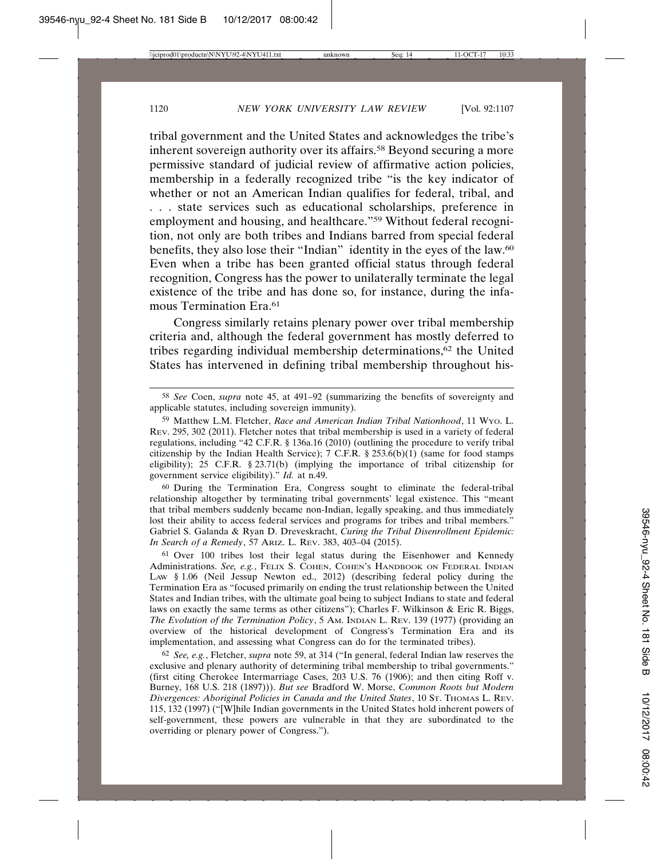tribal government and the United States and acknowledges the tribe's inherent sovereign authority over its affairs.<sup>58</sup> Beyond securing a more permissive standard of judicial review of affirmative action policies, membership in a federally recognized tribe "is the key indicator of whether or not an American Indian qualifies for federal, tribal, and . . . state services such as educational scholarships, preference in employment and housing, and healthcare."59 Without federal recognition, not only are both tribes and Indians barred from special federal benefits, they also lose their "Indian" identity in the eyes of the law.60 Even when a tribe has been granted official status through federal recognition, Congress has the power to unilaterally terminate the legal existence of the tribe and has done so, for instance, during the infamous Termination Era.<sup>61</sup>

Congress similarly retains plenary power over tribal membership criteria and, although the federal government has mostly deferred to tribes regarding individual membership determinations,62 the United States has intervened in defining tribal membership throughout his-

60 During the Termination Era, Congress sought to eliminate the federal-tribal relationship altogether by terminating tribal governments' legal existence. This "meant that tribal members suddenly became non-Indian, legally speaking, and thus immediately lost their ability to access federal services and programs for tribes and tribal members." Gabriel S. Galanda & Ryan D. Dreveskracht, *Curing the Tribal Disenrollment Epidemic: In Search of a Remedy*, 57 ARIZ. L. REV. 383, 403–04 (2015).

61 Over 100 tribes lost their legal status during the Eisenhower and Kennedy Administrations. See, e.g., FELIX S. COHEN, COHEN'S HANDBOOK ON FEDERAL INDIAN LAW § 1.06 (Neil Jessup Newton ed., 2012) (describing federal policy during the Termination Era as "focused primarily on ending the trust relationship between the United States and Indian tribes, with the ultimate goal being to subject Indians to state and federal laws on exactly the same terms as other citizens"); Charles F. Wilkinson & Eric R. Biggs, *The Evolution of the Termination Policy*, 5 AM. INDIAN L. REV. 139 (1977) (providing an overview of the historical development of Congress's Termination Era and its implementation, and assessing what Congress can do for the terminated tribes).

62 *See, e.g.*, Fletcher, *supra* note 59, at 314 ("In general, federal Indian law reserves the exclusive and plenary authority of determining tribal membership to tribal governments." (first citing Cherokee Intermarriage Cases, 203 U.S. 76 (1906); and then citing Roff v. Burney, 168 U.S. 218 (1897))). *But see* Bradford W. Morse, *Common Roots but Modern Divergences: Aboriginal Policies in Canada and the United States*, 10 ST. THOMAS L. REV. 115, 132 (1997) ("[W]hile Indian governments in the United States hold inherent powers of self-government, these powers are vulnerable in that they are subordinated to the overriding or plenary power of Congress.").

<sup>58</sup> *See* Coen, *supra* note 45, at 491–92 (summarizing the benefits of sovereignty and applicable statutes, including sovereign immunity).

<sup>59</sup> Matthew L.M. Fletcher, *Race and American Indian Tribal Nationhood*, 11 WYO. L. REV. 295, 302 (2011). Fletcher notes that tribal membership is used in a variety of federal regulations, including "42 C.F.R. § 136a.16 (2010) (outlining the procedure to verify tribal citizenship by the Indian Health Service); 7 C.F.R. § 253.6(b)(1) (same for food stamps eligibility); 25 C.F.R. § 23.71(b) (implying the importance of tribal citizenship for government service eligibility)." *Id.* at n.49.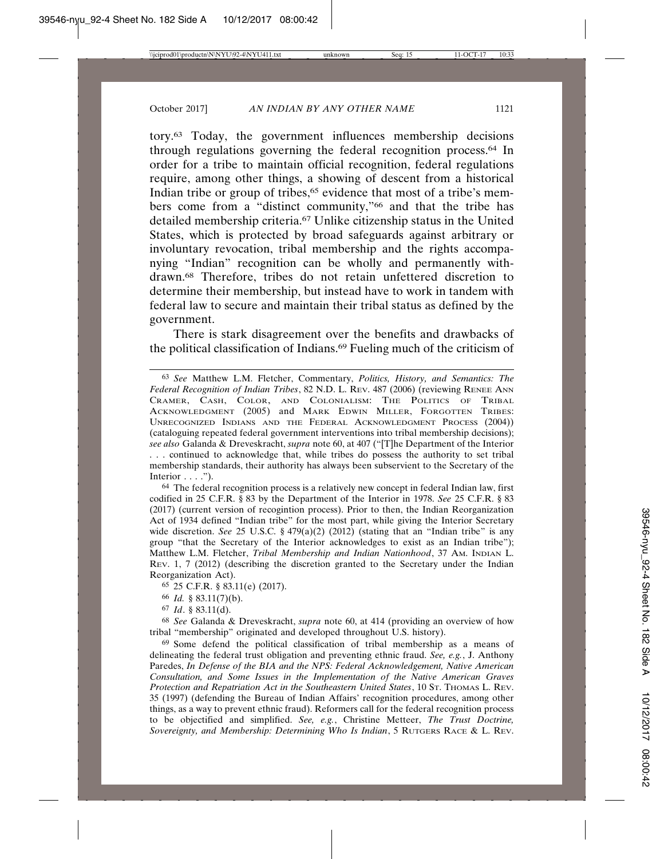tory.63 Today, the government influences membership decisions through regulations governing the federal recognition process.64 In order for a tribe to maintain official recognition, federal regulations require, among other things, a showing of descent from a historical Indian tribe or group of tribes,<sup>65</sup> evidence that most of a tribe's members come from a "distinct community,"66 and that the tribe has detailed membership criteria.67 Unlike citizenship status in the United States, which is protected by broad safeguards against arbitrary or involuntary revocation, tribal membership and the rights accompanying "Indian" recognition can be wholly and permanently withdrawn.68 Therefore, tribes do not retain unfettered discretion to determine their membership, but instead have to work in tandem with federal law to secure and maintain their tribal status as defined by the government.

There is stark disagreement over the benefits and drawbacks of the political classification of Indians.69 Fueling much of the criticism of

64 The federal recognition process is a relatively new concept in federal Indian law, first codified in 25 C.F.R. § 83 by the Department of the Interior in 1978. *See* 25 C.F.R. § 83 (2017) (current version of recogintion process). Prior to then, the Indian Reorganization Act of 1934 defined "Indian tribe" for the most part, while giving the Interior Secretary wide discretion. *See* 25 U.S.C. § 479(a)(2) (2012) (stating that an "Indian tribe" is any group "that the Secretary of the Interior acknowledges to exist as an Indian tribe"); Matthew L.M. Fletcher, *Tribal Membership and Indian Nationhood*, 37 AM. INDIAN L. REV. 1, 7 (2012) (describing the discretion granted to the Secretary under the Indian Reorganization Act).

67 *Id*. § 83.11(d).

69 Some defend the political classification of tribal membership as a means of delineating the federal trust obligation and preventing ethnic fraud. *See, e.g.*, J. Anthony Paredes, *In Defense of the BIA and the NPS: Federal Acknowledgement, Native American Consultation, and Some Issues in the Implementation of the Native American Graves Protection and Repatriation Act in the Southeastern United States*, 10 ST. THOMAS L. REV. 35 (1997) (defending the Bureau of Indian Affairs' recognition procedures, among other things, as a way to prevent ethnic fraud). Reformers call for the federal recognition process to be objectified and simplified. *See, e.g.*, Christine Metteer, *The Trust Doctrine, Sovereignty, and Membership: Determining Who Is Indian*, 5 RUTGERS RACE & L. REV.

<sup>63</sup> *See* Matthew L.M. Fletcher, Commentary, *Politics, History, and Semantics: The Federal Recognition of Indian Tribes*, 82 N.D. L. REV. 487 (2006) (reviewing RENEE ANN CRAMER, CASH, COLOR, AND COLONIALISM: THE POLITICS OF TRIBAL ACKNOWLEDGMENT (2005) and MARK EDWIN MILLER, FORGOTTEN TRIBES: UNRECOGNIZED INDIANS AND THE FEDERAL ACKNOWLEDGMENT PROCESS (2004)) (cataloguing repeated federal government interventions into tribal membership decisions); *see also* Galanda & Dreveskracht, *supra* note 60, at 407 ("[T]he Department of the Interior . . . continued to acknowledge that, while tribes do possess the authority to set tribal membership standards, their authority has always been subservient to the Secretary of the Interior  $\ldots$ .").

<sup>65</sup> 25 C.F.R. § 83.11(e) (2017).

<sup>66</sup> *Id.* § 83.11(7)(b).

<sup>68</sup> *See* Galanda & Dreveskracht, *supra* note 60, at 414 (providing an overview of how tribal "membership" originated and developed throughout U.S. history).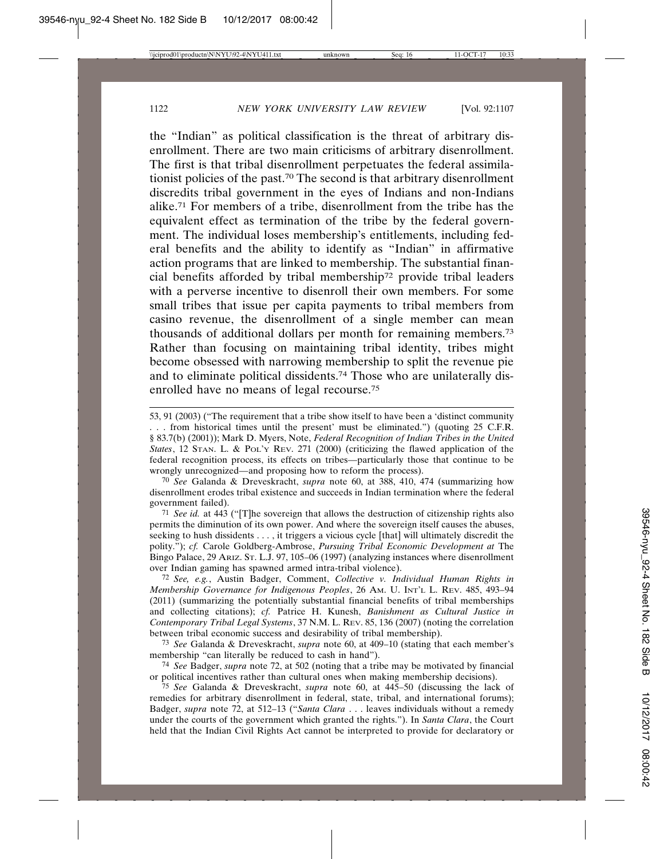the "Indian" as political classification is the threat of arbitrary disenrollment. There are two main criticisms of arbitrary disenrollment. The first is that tribal disenrollment perpetuates the federal assimilationist policies of the past.70 The second is that arbitrary disenrollment discredits tribal government in the eyes of Indians and non-Indians alike.71 For members of a tribe, disenrollment from the tribe has the equivalent effect as termination of the tribe by the federal government. The individual loses membership's entitlements, including federal benefits and the ability to identify as "Indian" in affirmative action programs that are linked to membership. The substantial financial benefits afforded by tribal membership72 provide tribal leaders with a perverse incentive to disenroll their own members. For some small tribes that issue per capita payments to tribal members from casino revenue, the disenrollment of a single member can mean thousands of additional dollars per month for remaining members.73 Rather than focusing on maintaining tribal identity, tribes might become obsessed with narrowing membership to split the revenue pie and to eliminate political dissidents.74 Those who are unilaterally disenrolled have no means of legal recourse.75

70 *See* Galanda & Dreveskracht, *supra* note 60, at 388, 410, 474 (summarizing how disenrollment erodes tribal existence and succeeds in Indian termination where the federal government failed).

71 *See id.* at 443 ("[T]he sovereign that allows the destruction of citizenship rights also permits the diminution of its own power. And where the sovereign itself causes the abuses, seeking to hush dissidents . . . , it triggers a vicious cycle [that] will ultimately discredit the polity."); *cf.* Carole Goldberg-Ambrose, *Pursuing Tribal Economic Development at* The Bingo Palace, 29 ARIZ. ST. L.J. 97, 105–06 (1997) (analyzing instances where disenrollment over Indian gaming has spawned armed intra-tribal violence).

72 *See, e.g.*, Austin Badger, Comment, *Collective v. Individual Human Rights in Membership Governance for Indigenous Peoples*, 26 AM. U. INT'L L. REV. 485, 493–94 (2011) (summarizing the potentially substantial financial benefits of tribal memberships and collecting citations); *cf.* Patrice H. Kunesh, *Banishment as Cultural Justice in Contemporary Tribal Legal Systems*, 37 N.M. L. REV. 85, 136 (2007) (noting the correlation between tribal economic success and desirability of tribal membership).

74 *See* Badger, *supra* note 72, at 502 (noting that a tribe may be motivated by financial or political incentives rather than cultural ones when making membership decisions).

75 *See* Galanda & Dreveskracht, *supra* note 60, at 445–50 (discussing the lack of remedies for arbitrary disenrollment in federal, state, tribal, and international forums); Badger, *supra* note 72, at 512–13 ("*Santa Clara* . . . leaves individuals without a remedy under the courts of the government which granted the rights."). In *Santa Clara*, the Court held that the Indian Civil Rights Act cannot be interpreted to provide for declaratory or

<sup>53, 91 (2003) (&</sup>quot;The requirement that a tribe show itself to have been a 'distinct community . . . from historical times until the present' must be eliminated.") (quoting 25 C.F.R. § 83.7(b) (2001)); Mark D. Myers, Note, *Federal Recognition of Indian Tribes in the United States*, 12 STAN. L. & POL'Y REV. 271 (2000) (criticizing the flawed application of the federal recognition process, its effects on tribes—particularly those that continue to be wrongly unrecognized—and proposing how to reform the process).

<sup>73</sup> *See* Galanda & Dreveskracht, *supra* note 60, at 409–10 (stating that each member's membership "can literally be reduced to cash in hand").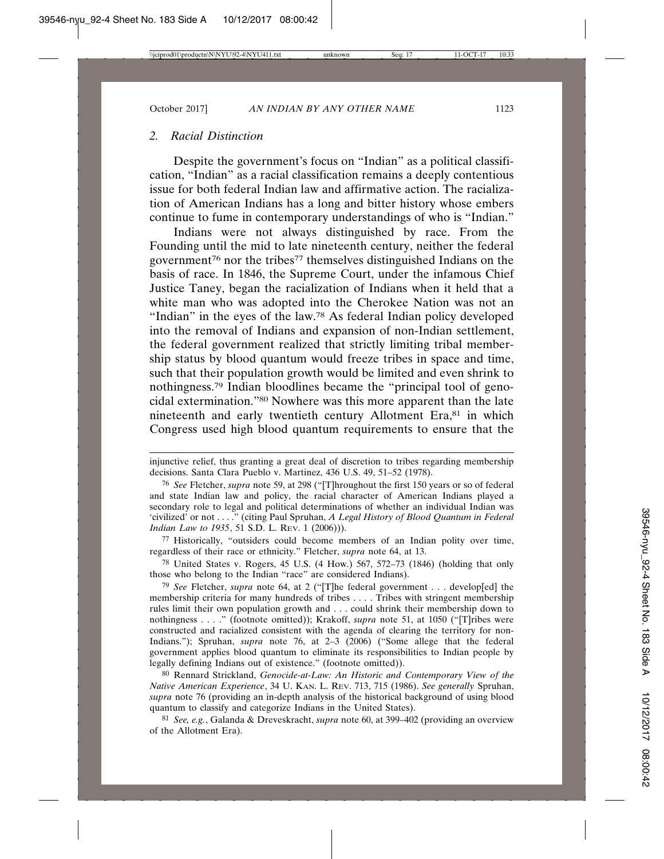### *2. Racial Distinction*

Despite the government's focus on "Indian" as a political classification, "Indian" as a racial classification remains a deeply contentious issue for both federal Indian law and affirmative action. The racialization of American Indians has a long and bitter history whose embers continue to fume in contemporary understandings of who is "Indian."

Indians were not always distinguished by race. From the Founding until the mid to late nineteenth century, neither the federal government76 nor the tribes77 themselves distinguished Indians on the basis of race. In 1846, the Supreme Court, under the infamous Chief Justice Taney, began the racialization of Indians when it held that a white man who was adopted into the Cherokee Nation was not an "Indian" in the eyes of the law.78 As federal Indian policy developed into the removal of Indians and expansion of non-Indian settlement, the federal government realized that strictly limiting tribal membership status by blood quantum would freeze tribes in space and time, such that their population growth would be limited and even shrink to nothingness.79 Indian bloodlines became the "principal tool of genocidal extermination."80 Nowhere was this more apparent than the late nineteenth and early twentieth century Allotment Era,<sup>81</sup> in which Congress used high blood quantum requirements to ensure that the

77 Historically, "outsiders could become members of an Indian polity over time, regardless of their race or ethnicity." Fletcher, *supra* note 64, at 13.

78 United States v. Rogers, 45 U.S. (4 How.) 567, 572–73 (1846) (holding that only those who belong to the Indian "race" are considered Indians).

79 *See* Fletcher, *supra* note 64, at 2 ("[T]he federal government . . . develop[ed] the membership criteria for many hundreds of tribes . . . . Tribes with stringent membership rules limit their own population growth and . . . could shrink their membership down to nothingness . . . ." (footnote omitted)); Krakoff, *supra* note 51, at 1050 ("[T]ribes were constructed and racialized consistent with the agenda of clearing the territory for non-Indians."); Spruhan, *supra* note 76, at 2–3 (2006) ("Some allege that the federal government applies blood quantum to eliminate its responsibilities to Indian people by legally defining Indians out of existence." (footnote omitted)).

80 Rennard Strickland, *Genocide-at-Law: An Historic and Contemporary View of the Native American Experience*, 34 U. KAN. L. REV. 713, 715 (1986). *See generally* Spruhan, *supra* note 76 (providing an in-depth analysis of the historical background of using blood quantum to classify and categorize Indians in the United States).

81 *See, e.g.*, Galanda & Dreveskracht, *supra* note 60, at 399–402 (providing an overview of the Allotment Era).

injunctive relief, thus granting a great deal of discretion to tribes regarding membership decisions. Santa Clara Pueblo v. Martinez, 436 U.S. 49, 51–52 (1978).

<sup>76</sup> *See* Fletcher, *supra* note 59, at 298 ("[T]hroughout the first 150 years or so of federal and state Indian law and policy, the racial character of American Indians played a secondary role to legal and political determinations of whether an individual Indian was 'civilized' or not . . . ." (citing Paul Spruhan, *A Legal History of Blood Quantum in Federal Indian Law to 1935*, 51 S.D. L. REV. 1 (2006))).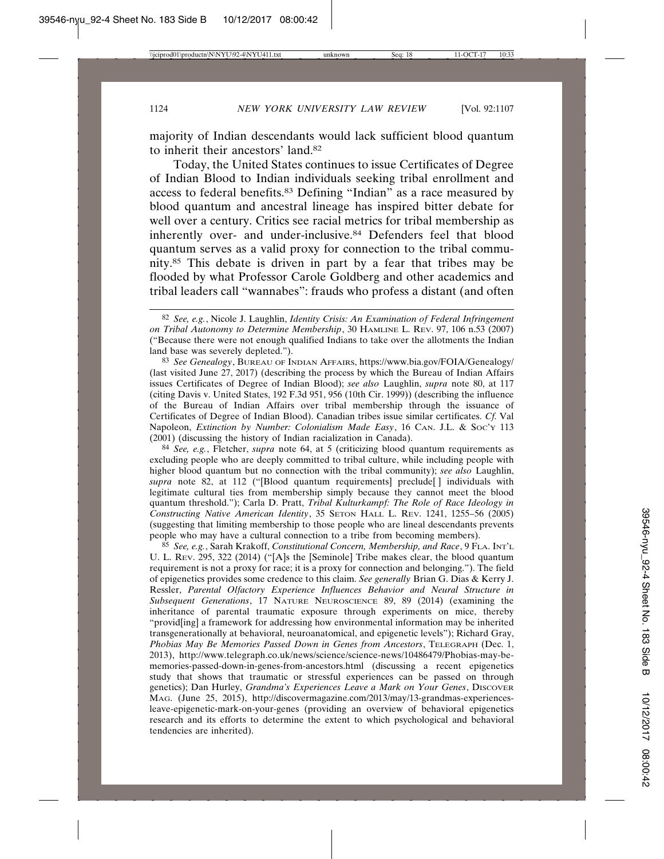majority of Indian descendants would lack sufficient blood quantum to inherit their ancestors' land.82

Today, the United States continues to issue Certificates of Degree of Indian Blood to Indian individuals seeking tribal enrollment and access to federal benefits.83 Defining "Indian" as a race measured by blood quantum and ancestral lineage has inspired bitter debate for well over a century. Critics see racial metrics for tribal membership as inherently over- and under-inclusive.84 Defenders feel that blood quantum serves as a valid proxy for connection to the tribal community.85 This debate is driven in part by a fear that tribes may be flooded by what Professor Carole Goldberg and other academics and tribal leaders call "wannabes": frauds who profess a distant (and often

83 *See Genealogy*, BUREAU OF INDIAN AFFAIRS, https://www.bia.gov/FOIA/Genealogy/ (last visited June 27, 2017) (describing the process by which the Bureau of Indian Affairs issues Certificates of Degree of Indian Blood); *see also* Laughlin, *supra* note 80, at 117 (citing Davis v. United States, 192 F.3d 951, 956 (10th Cir. 1999)) (describing the influence of the Bureau of Indian Affairs over tribal membership through the issuance of Certificates of Degree of Indian Blood). Canadian tribes issue similar certificates. *Cf.* Val Napoleon, *Extinction by Number: Colonialism Made Easy*, 16 CAN. J.L. & Soc'y 113 (2001) (discussing the history of Indian racialization in Canada).

84 *See, e.g.*, Fletcher, *supra* note 64, at 5 (criticizing blood quantum requirements as excluding people who are deeply committed to tribal culture, while including people with higher blood quantum but no connection with the tribal community); *see also* Laughlin, *supra* note 82, at 112 ("[Blood quantum requirements] preclude[ ] individuals with legitimate cultural ties from membership simply because they cannot meet the blood quantum threshold."); Carla D. Pratt, *Tribal Kulturkampf: The Role of Race Ideology in Constructing Native American Identity*, 35 SETON HALL L. REV. 1241, 1255–56 (2005) (suggesting that limiting membership to those people who are lineal descendants prevents people who may have a cultural connection to a tribe from becoming members).

85 *See, e.g.*, Sarah Krakoff, *Constitutional Concern, Membership, and Race*, 9 FLA. INT'L U. L. REV. 295, 322 (2014) ("[A]s the [Seminole] Tribe makes clear, the blood quantum requirement is not a proxy for race; it is a proxy for connection and belonging."). The field of epigenetics provides some credence to this claim. *See generally* Brian G. Dias & Kerry J. Ressler, *Parental Olfactory Experience Influences Behavior and Neural Structure in Subsequent Generations*, 17 NATURE NEUROSCIENCE 89, 89 (2014) (examining the inheritance of parental traumatic exposure through experiments on mice, thereby "provid[ing] a framework for addressing how environmental information may be inherited transgenerationally at behavioral, neuroanatomical, and epigenetic levels"); Richard Gray, *Phobias May Be Memories Passed Down in Genes from Ancestors*, TELEGRAPH (Dec. 1, 2013), http://www.telegraph.co.uk/news/science/science-news/10486479/Phobias-may-bememories-passed-down-in-genes-from-ancestors.html (discussing a recent epigenetics study that shows that traumatic or stressful experiences can be passed on through genetics); Dan Hurley, *Grandma's Experiences Leave a Mark on Your Genes*, DISCOVER MAG. (June 25, 2015), http://discovermagazine.com/2013/may/13-grandmas-experiencesleave-epigenetic-mark-on-your-genes (providing an overview of behavioral epigenetics research and its efforts to determine the extent to which psychological and behavioral tendencies are inherited).

<sup>82</sup> *See, e.g.*, Nicole J. Laughlin, *Identity Crisis: An Examination of Federal Infringement on Tribal Autonomy to Determine Membership*, 30 HAMLINE L. REV. 97, 106 n.53 (2007) ("Because there were not enough qualified Indians to take over the allotments the Indian land base was severely depleted.").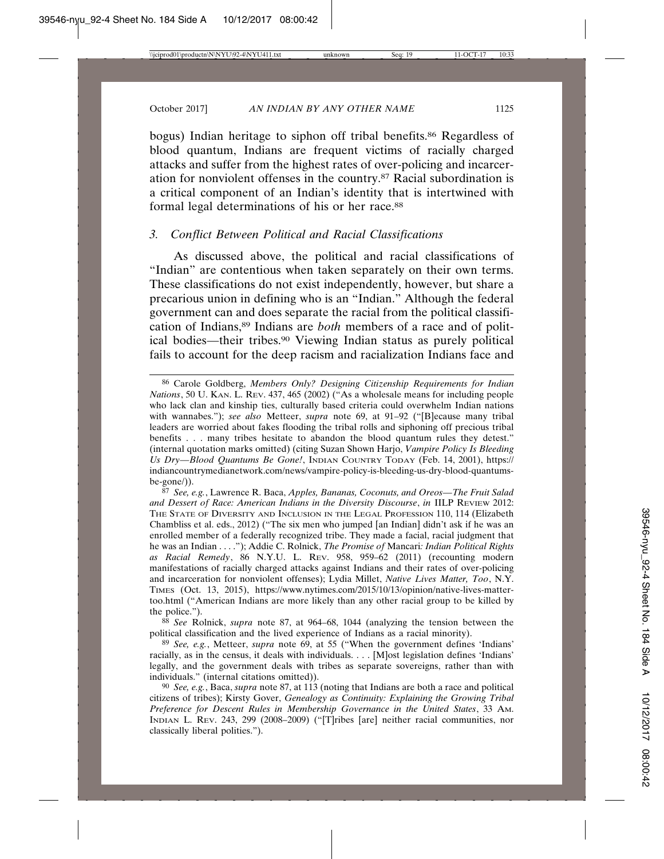bogus) Indian heritage to siphon off tribal benefits.<sup>86</sup> Regardless of blood quantum, Indians are frequent victims of racially charged attacks and suffer from the highest rates of over-policing and incarceration for nonviolent offenses in the country.87 Racial subordination is a critical component of an Indian's identity that is intertwined with formal legal determinations of his or her race.<sup>88</sup>

# *3. Conflict Between Political and Racial Classifications*

As discussed above, the political and racial classifications of "Indian" are contentious when taken separately on their own terms. These classifications do not exist independently, however, but share a precarious union in defining who is an "Indian." Although the federal government can and does separate the racial from the political classification of Indians,89 Indians are *both* members of a race and of political bodies—their tribes.90 Viewing Indian status as purely political fails to account for the deep racism and racialization Indians face and

88 *See* Rolnick, *supra* note 87, at 964–68, 1044 (analyzing the tension between the political classification and the lived experience of Indians as a racial minority).

<sup>86</sup> Carole Goldberg, *Members Only? Designing Citizenship Requirements for Indian Nations*, 50 U. KAN. L. REV. 437, 465 (2002) ("As a wholesale means for including people who lack clan and kinship ties, culturally based criteria could overwhelm Indian nations with wannabes."); *see also* Metteer, *supra* note 69, at 91–92 ("[B]ecause many tribal leaders are worried about fakes flooding the tribal rolls and siphoning off precious tribal benefits . . . many tribes hesitate to abandon the blood quantum rules they detest." (internal quotation marks omitted) (citing Suzan Shown Harjo, *Vampire Policy Is Bleeding Us Dry—Blood Quantums Be Gone!*, INDIAN COUNTRY TODAY (Feb. 14, 2001), https:// indiancountrymedianetwork.com/news/vampire-policy-is-bleeding-us-dry-blood-quantumsbe-gone/)).

<sup>87</sup> *See, e.g.*, Lawrence R. Baca, *Apples, Bananas, Coconuts, and Oreos—The Fruit Salad and Dessert of Race: American Indians in the Diversity Discourse*, *in* IILP REVIEW 2012: THE STATE OF DIVERSITY AND INCLUSION IN THE LEGAL PROFESSION 110, 114 (Elizabeth Chambliss et al. eds., 2012) ("The six men who jumped [an Indian] didn't ask if he was an enrolled member of a federally recognized tribe. They made a facial, racial judgment that he was an Indian . . . ."); Addie C. Rolnick, *The Promise of* Mancari*: Indian Political Rights as Racial Remedy*, 86 N.Y.U. L. REV. 958, 959–62 (2011) (recounting modern manifestations of racially charged attacks against Indians and their rates of over-policing and incarceration for nonviolent offenses); Lydia Millet, *Native Lives Matter, Too*, N.Y. TIMES (Oct. 13, 2015), https://www.nytimes.com/2015/10/13/opinion/native-lives-mattertoo.html ("American Indians are more likely than any other racial group to be killed by the police.").

<sup>89</sup> *See, e.g.*, Metteer, *supra* note 69, at 55 ("When the government defines 'Indians' racially, as in the census, it deals with individuals. . . . [M]ost legislation defines 'Indians' legally, and the government deals with tribes as separate sovereigns, rather than with individuals." (internal citations omitted)).

<sup>90</sup> *See, e.g.*, Baca, *supra* note 87, at 113 (noting that Indians are both a race and political citizens of tribes); Kirsty Gover, *Genealogy as Continuity: Explaining the Growing Tribal Preference for Descent Rules in Membership Governance in the United States*, 33 AM. INDIAN L. REV. 243, 299 (2008–2009) ("[T]ribes [are] neither racial communities, nor classically liberal polities.").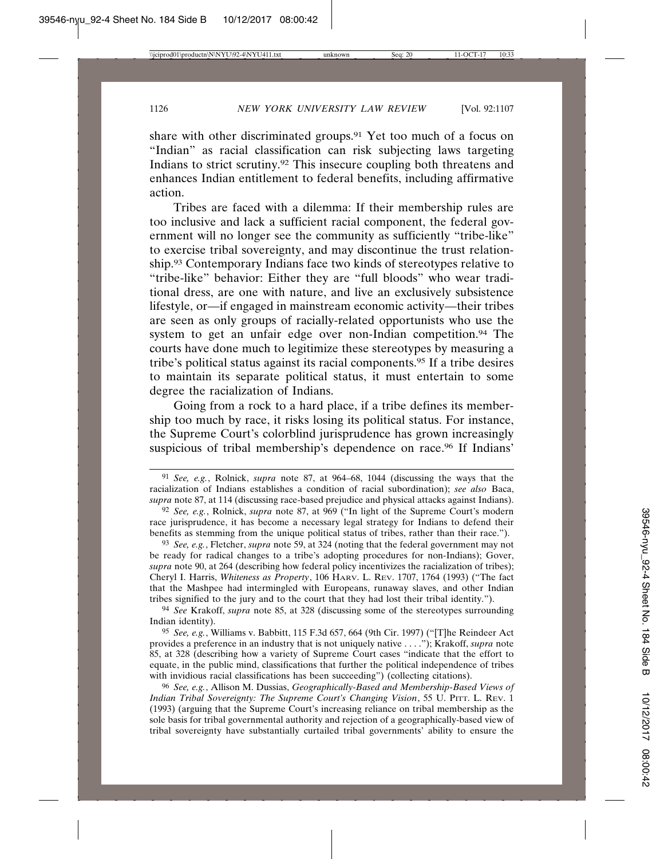share with other discriminated groups.91 Yet too much of a focus on "Indian" as racial classification can risk subjecting laws targeting Indians to strict scrutiny.92 This insecure coupling both threatens and enhances Indian entitlement to federal benefits, including affirmative action.

Tribes are faced with a dilemma: If their membership rules are too inclusive and lack a sufficient racial component, the federal government will no longer see the community as sufficiently "tribe-like" to exercise tribal sovereignty, and may discontinue the trust relationship.93 Contemporary Indians face two kinds of stereotypes relative to "tribe-like" behavior: Either they are "full bloods" who wear traditional dress, are one with nature, and live an exclusively subsistence lifestyle, or—if engaged in mainstream economic activity—their tribes are seen as only groups of racially-related opportunists who use the system to get an unfair edge over non-Indian competition.<sup>94</sup> The courts have done much to legitimize these stereotypes by measuring a tribe's political status against its racial components.95 If a tribe desires to maintain its separate political status, it must entertain to some degree the racialization of Indians.

Going from a rock to a hard place, if a tribe defines its membership too much by race, it risks losing its political status. For instance, the Supreme Court's colorblind jurisprudence has grown increasingly suspicious of tribal membership's dependence on race.<sup>96</sup> If Indians'

94 *See* Krakoff, *supra* note 85, at 328 (discussing some of the stereotypes surrounding Indian identity).

95 *See, e.g.*, Williams v. Babbitt, 115 F.3d 657, 664 (9th Cir. 1997) ("[T]he Reindeer Act provides a preference in an industry that is not uniquely native . . . ."); Krakoff, *supra* note 85, at 328 (describing how a variety of Supreme Court cases "indicate that the effort to equate, in the public mind, classifications that further the political independence of tribes with invidious racial classifications has been succeeding") (collecting citations).

96 *See, e.g.*, Allison M. Dussias, *Geographically-Based and Membership-Based Views of Indian Tribal Sovereignty: The Supreme Court's Changing Vision*, 55 U. PITT. L. REV. 1 (1993) (arguing that the Supreme Court's increasing reliance on tribal membership as the sole basis for tribal governmental authority and rejection of a geographically-based view of tribal sovereignty have substantially curtailed tribal governments' ability to ensure the

<sup>91</sup> *See, e.g.*, Rolnick, *supra* note 87, at 964–68, 1044 (discussing the ways that the racialization of Indians establishes a condition of racial subordination); *see also* Baca, *supra* note 87, at 114 (discussing race-based prejudice and physical attacks against Indians).

<sup>92</sup> *See, e.g.*, Rolnick, *supra* note 87, at 969 ("In light of the Supreme Court's modern race jurisprudence, it has become a necessary legal strategy for Indians to defend their benefits as stemming from the unique political status of tribes, rather than their race.").

<sup>93</sup> *See, e.g.*, Fletcher, *supra* note 59, at 324 (noting that the federal government may not be ready for radical changes to a tribe's adopting procedures for non-Indians); Gover, *supra* note 90, at 264 (describing how federal policy incentivizes the racialization of tribes); Cheryl I. Harris, *Whiteness as Property*, 106 HARV. L. REV. 1707, 1764 (1993) ("The fact that the Mashpee had intermingled with Europeans, runaway slaves, and other Indian tribes signified to the jury and to the court that they had lost their tribal identity.").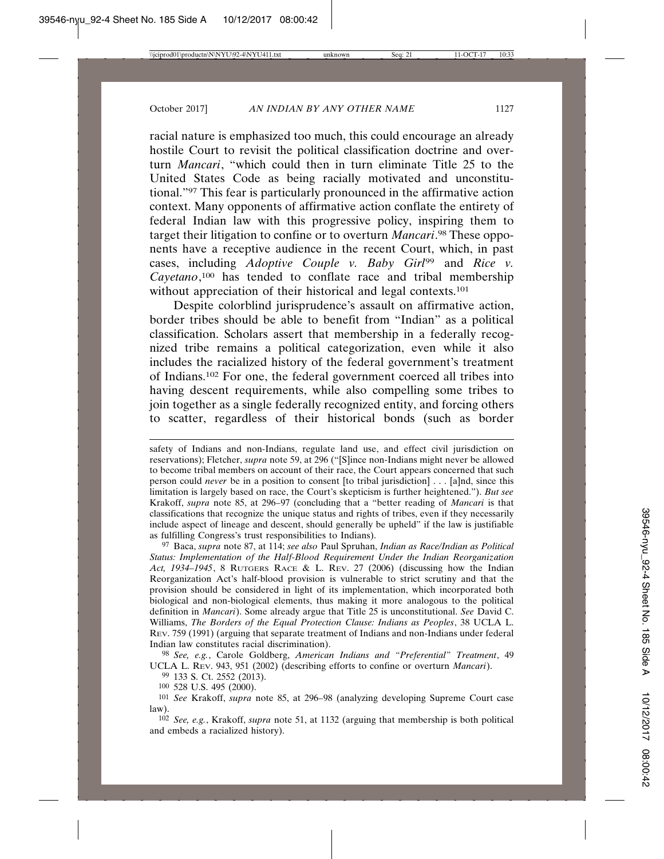racial nature is emphasized too much, this could encourage an already hostile Court to revisit the political classification doctrine and overturn *Mancari*, "which could then in turn eliminate Title 25 to the United States Code as being racially motivated and unconstitutional."97 This fear is particularly pronounced in the affirmative action context. Many opponents of affirmative action conflate the entirety of federal Indian law with this progressive policy, inspiring them to target their litigation to confine or to overturn *Mancari*. 98 These opponents have a receptive audience in the recent Court, which, in past cases, including *Adoptive Couple v. Baby Girl*99 and *Rice v. Cayetano*, 100 has tended to conflate race and tribal membership without appreciation of their historical and legal contexts.<sup>101</sup>

Despite colorblind jurisprudence's assault on affirmative action, border tribes should be able to benefit from "Indian" as a political classification. Scholars assert that membership in a federally recognized tribe remains a political categorization, even while it also includes the racialized history of the federal government's treatment of Indians.102 For one, the federal government coerced all tribes into having descent requirements, while also compelling some tribes to join together as a single federally recognized entity, and forcing others to scatter, regardless of their historical bonds (such as border

97 Baca, *supra* note 87, at 114; *see also* Paul Spruhan, *Indian as Race/Indian as Political Status: Implementation of the Half-Blood Requirement Under the Indian Reorganization Act, 1934–1945*, 8 RUTGERS RACE & L. REV. 27 (2006) (discussing how the Indian Reorganization Act's half-blood provision is vulnerable to strict scrutiny and that the provision should be considered in light of its implementation, which incorporated both biological and non-biological elements, thus making it more analogous to the political definition in *Mancari*). Some already argue that Title 25 is unconstitutional. *See* David C. Williams, *The Borders of the Equal Protection Clause: Indians as Peoples*, 38 UCLA L. REV. 759 (1991) (arguing that separate treatment of Indians and non-Indians under federal Indian law constitutes racial discrimination).

98 *See, e.g.*, Carole Goldberg, *American Indians and "Preferential" Treatment*, 49 UCLA L. REV. 943, 951 (2002) (describing efforts to confine or overturn *Mancari*).

99 133 S. Ct. 2552 (2013).

100 528 U.S. 495 (2000).

101 *See* Krakoff, *supra* note 85, at 296–98 (analyzing developing Supreme Court case law).

102 *See, e.g.*, Krakoff, *supra* note 51, at 1132 (arguing that membership is both political and embeds a racialized history).

safety of Indians and non-Indians, regulate land use, and effect civil jurisdiction on reservations); Fletcher, *supra* note 59, at 296 ("[S]ince non-Indians might never be allowed to become tribal members on account of their race, the Court appears concerned that such person could *never* be in a position to consent [to tribal jurisdiction] . . . [a]nd, since this limitation is largely based on race, the Court's skepticism is further heightened."). *But see* Krakoff, *supra* note 85, at 296–97 (concluding that a "better reading of *Mancari* is that classifications that recognize the unique status and rights of tribes, even if they necessarily include aspect of lineage and descent, should generally be upheld" if the law is justifiable as fulfilling Congress's trust responsibilities to Indians).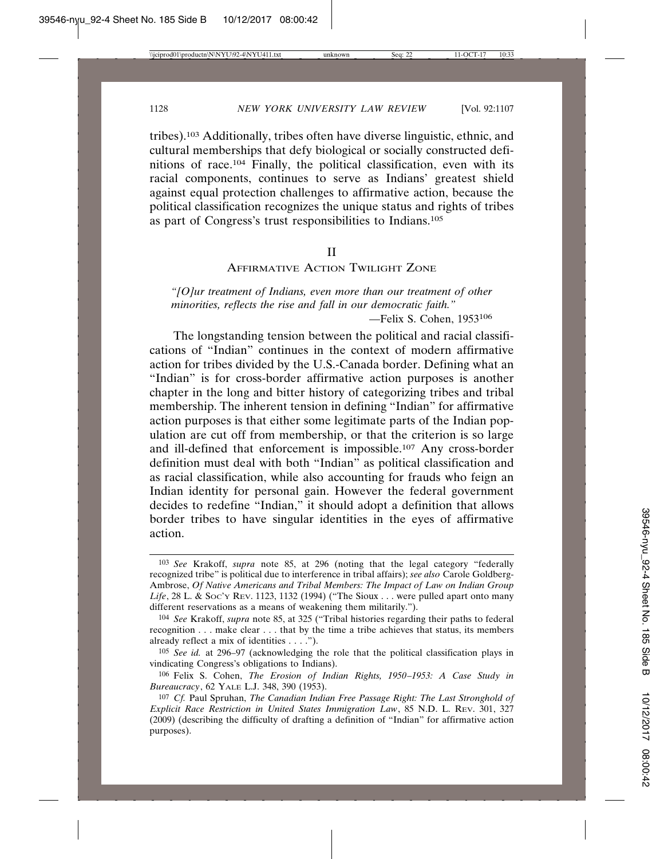tribes).103 Additionally, tribes often have diverse linguistic, ethnic, and cultural memberships that defy biological or socially constructed definitions of race.104 Finally, the political classification, even with its racial components, continues to serve as Indians' greatest shield against equal protection challenges to affirmative action, because the political classification recognizes the unique status and rights of tribes as part of Congress's trust responsibilities to Indians.105

#### II

# AFFIRMATIVE ACTION TWILIGHT ZONE

*"[O]ur treatment of Indians, even more than our treatment of other minorities, reflects the rise and fall in our democratic faith."* —Felix S. Cohen, 1953<sup>106</sup>

The longstanding tension between the political and racial classifications of "Indian" continues in the context of modern affirmative action for tribes divided by the U.S.-Canada border. Defining what an "Indian" is for cross-border affirmative action purposes is another chapter in the long and bitter history of categorizing tribes and tribal membership. The inherent tension in defining "Indian" for affirmative action purposes is that either some legitimate parts of the Indian population are cut off from membership, or that the criterion is so large and ill-defined that enforcement is impossible.107 Any cross-border definition must deal with both "Indian" as political classification and as racial classification, while also accounting for frauds who feign an Indian identity for personal gain. However the federal government decides to redefine "Indian," it should adopt a definition that allows border tribes to have singular identities in the eyes of affirmative action.

<sup>103</sup> *See* Krakoff, *supra* note 85, at 296 (noting that the legal category "federally recognized tribe" is political due to interference in tribal affairs); *see also* Carole Goldberg-Ambrose, *Of Native Americans and Tribal Members: The Impact of Law on Indian Group* Life, 28 L. & Soc'y Rev. 1123, 1132 (1994) ("The Sioux . . . were pulled apart onto many different reservations as a means of weakening them militarily.").

<sup>104</sup> *See* Krakoff, *supra* note 85, at 325 ("Tribal histories regarding their paths to federal recognition . . . make clear . . . that by the time a tribe achieves that status, its members already reflect a mix of identities . . . .").

<sup>105</sup> *See id.* at 296–97 (acknowledging the role that the political classification plays in vindicating Congress's obligations to Indians).

<sup>106</sup> Felix S. Cohen, *The Erosion of Indian Rights, 1950*–*1953: A Case Study in Bureaucracy*, 62 YALE L.J. 348, 390 (1953).

<sup>107</sup> *Cf.* Paul Spruhan, *The Canadian Indian Free Passage Right: The Last Stronghold of Explicit Race Restriction in United States Immigration Law*, 85 N.D. L. REV. 301, 327 (2009) (describing the difficulty of drafting a definition of "Indian" for affirmative action purposes).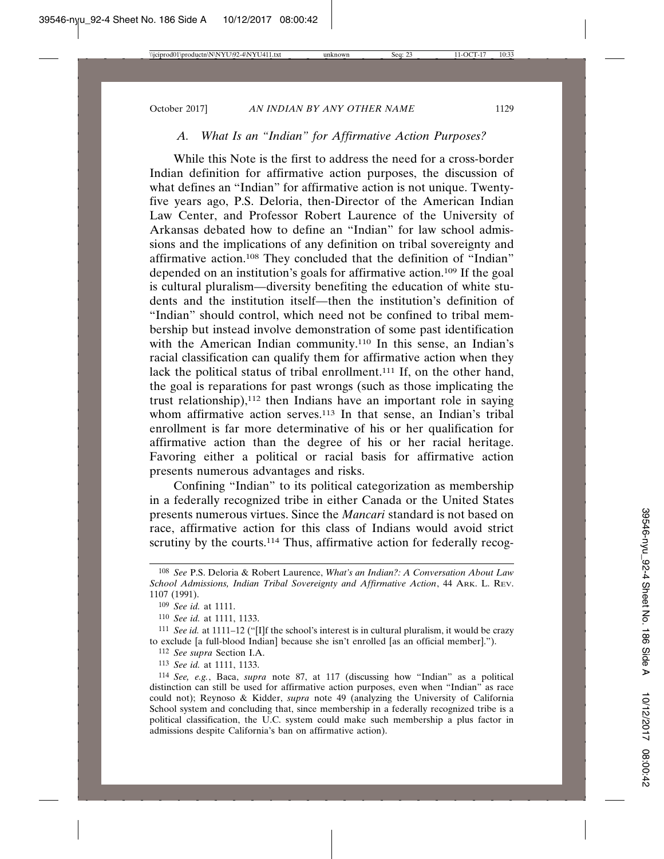# *A. What Is an "Indian" for Affirmative Action Purposes?*

While this Note is the first to address the need for a cross-border Indian definition for affirmative action purposes, the discussion of what defines an "Indian" for affirmative action is not unique. Twentyfive years ago, P.S. Deloria, then-Director of the American Indian Law Center, and Professor Robert Laurence of the University of Arkansas debated how to define an "Indian" for law school admissions and the implications of any definition on tribal sovereignty and affirmative action.108 They concluded that the definition of "Indian" depended on an institution's goals for affirmative action.109 If the goal is cultural pluralism—diversity benefiting the education of white students and the institution itself—then the institution's definition of "Indian" should control, which need not be confined to tribal membership but instead involve demonstration of some past identification with the American Indian community.110 In this sense, an Indian's racial classification can qualify them for affirmative action when they lack the political status of tribal enrollment.<sup>111</sup> If, on the other hand, the goal is reparations for past wrongs (such as those implicating the trust relationship), $112$  then Indians have an important role in saying whom affirmative action serves.<sup>113</sup> In that sense, an Indian's tribal enrollment is far more determinative of his or her qualification for affirmative action than the degree of his or her racial heritage. Favoring either a political or racial basis for affirmative action presents numerous advantages and risks.

Confining "Indian" to its political categorization as membership in a federally recognized tribe in either Canada or the United States presents numerous virtues. Since the *Mancari* standard is not based on race, affirmative action for this class of Indians would avoid strict scrutiny by the courts.<sup>114</sup> Thus, affirmative action for federally recog-

112 *See supra* Section I.A.

113 *See id.* at 1111, 1133.

<sup>108</sup> *See* P.S. Deloria & Robert Laurence, *What's an Indian?: A Conversation About Law School Admissions, Indian Tribal Sovereignty and Affirmative Action*, 44 ARK. L. REV. 1107 (1991).

<sup>109</sup> *See id.* at 1111.

<sup>110</sup> *See id.* at 1111, 1133.

<sup>111</sup> *See id.* at 1111–12 ("[I]f the school's interest is in cultural pluralism, it would be crazy to exclude [a full-blood Indian] because she isn't enrolled [as an official member].").

<sup>114</sup> *See, e.g.*, Baca, *supra* note 87, at 117 (discussing how "Indian" as a political distinction can still be used for affirmative action purposes, even when "Indian" as race could not); Reynoso & Kidder, *supra* note 49 (analyzing the University of California School system and concluding that, since membership in a federally recognized tribe is a political classification, the U.C. system could make such membership a plus factor in admissions despite California's ban on affirmative action).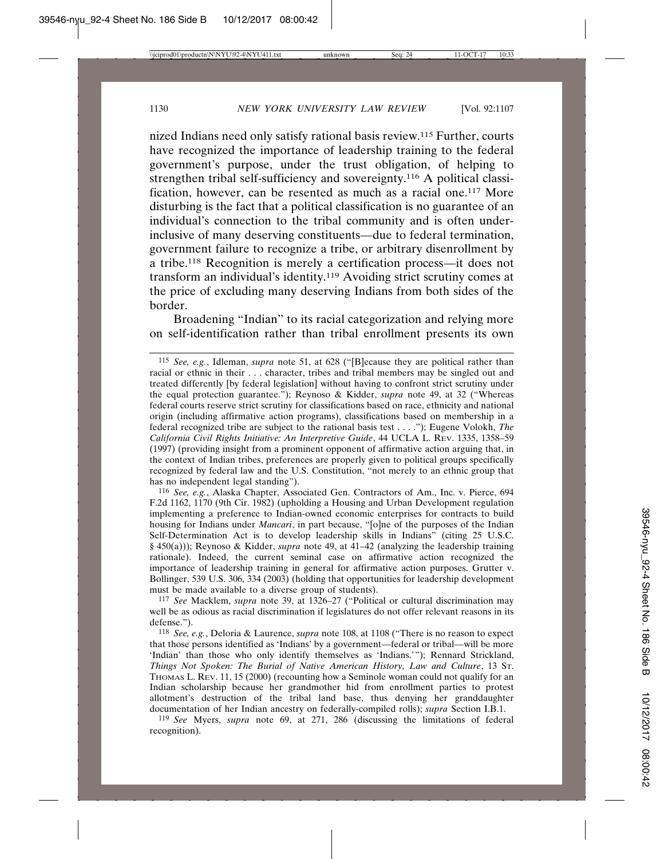nized Indians need only satisfy rational basis review.115 Further, courts have recognized the importance of leadership training to the federal government's purpose, under the trust obligation, of helping to strengthen tribal self-sufficiency and sovereignty.116 A political classification, however, can be resented as much as a racial one.117 More disturbing is the fact that a political classification is no guarantee of an individual's connection to the tribal community and is often underinclusive of many deserving constituents—due to federal termination, government failure to recognize a tribe, or arbitrary disenrollment by a tribe.118 Recognition is merely a certification process—it does not transform an individual's identity.119 Avoiding strict scrutiny comes at the price of excluding many deserving Indians from both sides of the border.

Broadening "Indian" to its racial categorization and relying more on self-identification rather than tribal enrollment presents its own

116 *See, e.g.*, Alaska Chapter, Associated Gen. Contractors of Am., Inc. v. Pierce, 694 F.2d 1162, 1170 (9th Cir. 1982) (upholding a Housing and Urban Development regulation implementing a preference to Indian-owned economic enterprises for contracts to build housing for Indians under *Mancari*, in part because, "[o]ne of the purposes of the Indian Self-Determination Act is to develop leadership skills in Indians" (citing 25 U.S.C. § 450(a))); Reynoso & Kidder, *supra* note 49, at 41–42 (analyzing the leadership training rationale). Indeed, the current seminal case on affirmative action recognized the importance of leadership training in general for affirmative action purposes. Grutter v. Bollinger, 539 U.S. 306, 334 (2003) (holding that opportunities for leadership development must be made available to a diverse group of students).

117 *See* Macklem, *supra* note 39, at 1326–27 ("Political or cultural discrimination may well be as odious as racial discrimination if legislatures do not offer relevant reasons in its defense.").

118 *See, e.g.*, Deloria & Laurence, *supra* note 108, at 1108 ("There is no reason to expect that those persons identified as 'Indians' by a government—federal or tribal—will be more 'Indian' than those who only identify themselves as 'Indians.'"); Rennard Strickland, *Things Not Spoken: The Burial of Native American History, Law and Culture*, 13 ST. THOMAS L. REV. 11, 15 (2000) (recounting how a Seminole woman could not qualify for an Indian scholarship because her grandmother hid from enrollment parties to protest allotment's destruction of the tribal land base, thus denying her granddaughter documentation of her Indian ancestry on federally-compiled rolls); *supra* Section I.B.1.

119 *See* Myers, *supra* note 69, at 271, 286 (discussing the limitations of federal recognition).

<sup>115</sup> *See, e.g.*, Idleman, *supra* note 51, at 628 ("[B]ecause they are political rather than racial or ethnic in their . . . character, tribes and tribal members may be singled out and treated differently [by federal legislation] without having to confront strict scrutiny under the equal protection guarantee."); Reynoso & Kidder, *supra* note 49, at 32 ("Whereas federal courts reserve strict scrutiny for classifications based on race, ethnicity and national origin (including affirmative action programs), classifications based on membership in a federal recognized tribe are subject to the rational basis test . . . ."); Eugene Volokh, *The California Civil Rights Initiative: An Interpretive Guide*, 44 UCLA L. REV. 1335, 1358–59 (1997) (providing insight from a prominent opponent of affirmative action arguing that, in the context of Indian tribes, preferences are properly given to political groups specifically recognized by federal law and the U.S. Constitution, "not merely to an ethnic group that has no independent legal standing").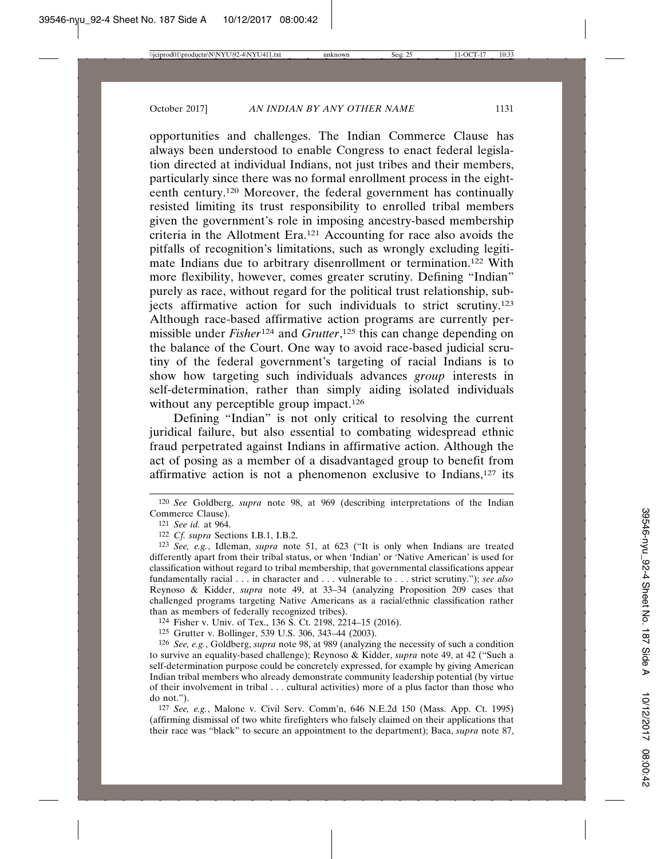opportunities and challenges. The Indian Commerce Clause has always been understood to enable Congress to enact federal legislation directed at individual Indians, not just tribes and their members, particularly since there was no formal enrollment process in the eighteenth century.120 Moreover, the federal government has continually resisted limiting its trust responsibility to enrolled tribal members given the government's role in imposing ancestry-based membership criteria in the Allotment Era.121 Accounting for race also avoids the pitfalls of recognition's limitations, such as wrongly excluding legitimate Indians due to arbitrary disenrollment or termination.122 With more flexibility, however, comes greater scrutiny. Defining "Indian" purely as race, without regard for the political trust relationship, subjects affirmative action for such individuals to strict scrutiny.123 Although race-based affirmative action programs are currently permissible under *Fisher*124 and *Grutter*, 125 this can change depending on the balance of the Court. One way to avoid race-based judicial scrutiny of the federal government's targeting of racial Indians is to show how targeting such individuals advances *group* interests in self-determination, rather than simply aiding isolated individuals without any perceptible group impact.<sup>126</sup>

Defining "Indian" is not only critical to resolving the current juridical failure, but also essential to combating widespread ethnic fraud perpetrated against Indians in affirmative action. Although the act of posing as a member of a disadvantaged group to benefit from affirmative action is not a phenomenon exclusive to Indians,127 its

124 Fisher v. Univ. of Tex., 136 S. Ct. 2198, 2214–15 (2016).

125 Grutter v. Bollinger, 539 U.S. 306, 343–44 (2003).

126 *See, e.g.*, Goldberg, *supra* note 98, at 989 (analyzing the necessity of such a condition to survive an equality-based challenge); Reynoso & Kidder, *supra* note 49, at 42 ("Such a self-determination purpose could be concretely expressed, for example by giving American Indian tribal members who already demonstrate community leadership potential (by virtue of their involvement in tribal . . . cultural activities) more of a plus factor than those who do not.").

127 *See, e.g.*, Malone v. Civil Serv. Comm'n, 646 N.E.2d 150 (Mass. App. Ct. 1995) (affirming dismissal of two white firefighters who falsely claimed on their applications that their race was "black" to secure an appointment to the department); Baca, *supra* note 87,

<sup>120</sup> *See* Goldberg, *supra* note 98, at 969 (describing interpretations of the Indian Commerce Clause).

<sup>121</sup> *See id.* at 964.

<sup>122</sup> *Cf. supra* Sections I.B.1, I.B.2.

<sup>123</sup> *See, e.g.*, Idleman, *supra* note 51, at 623 ("It is only when Indians are treated differently apart from their tribal status, or when 'Indian' or 'Native American' is used for classification without regard to tribal membership, that governmental classifications appear fundamentally racial . . . in character and . . . vulnerable to . . . strict scrutiny."); *see also* Reynoso & Kidder, *supra* note 49, at 33–34 (analyzing Proposition 209 cases that challenged programs targeting Native Americans as a racial/ethnic classification rather than as members of federally recognized tribes).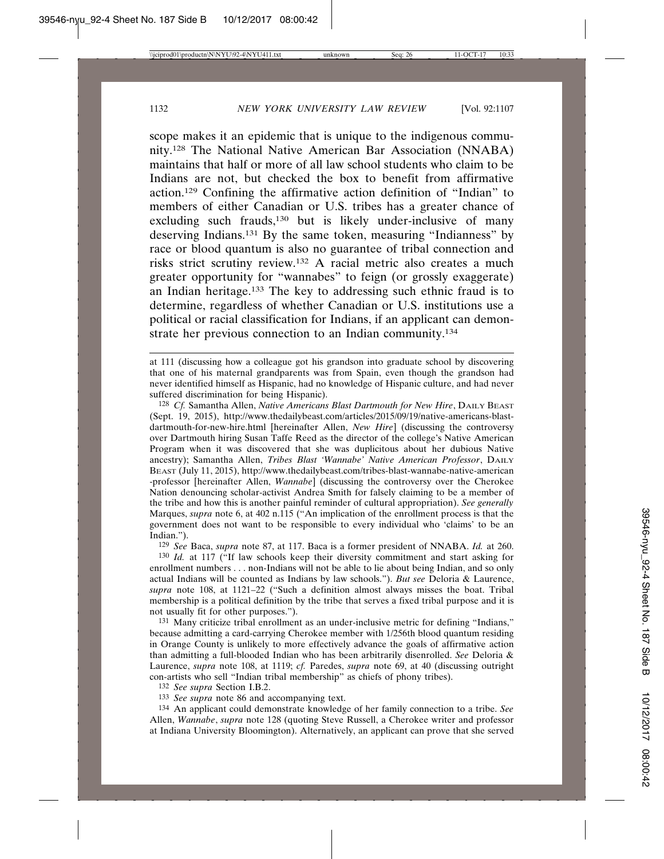scope makes it an epidemic that is unique to the indigenous community.128 The National Native American Bar Association (NNABA) maintains that half or more of all law school students who claim to be Indians are not, but checked the box to benefit from affirmative action.129 Confining the affirmative action definition of "Indian" to members of either Canadian or U.S. tribes has a greater chance of excluding such frauds,<sup>130</sup> but is likely under-inclusive of many deserving Indians.131 By the same token, measuring "Indianness" by race or blood quantum is also no guarantee of tribal connection and risks strict scrutiny review.132 A racial metric also creates a much greater opportunity for "wannabes" to feign (or grossly exaggerate) an Indian heritage.133 The key to addressing such ethnic fraud is to determine, regardless of whether Canadian or U.S. institutions use a political or racial classification for Indians, if an applicant can demonstrate her previous connection to an Indian community.<sup>134</sup>

128 *Cf.* Samantha Allen, *Native Americans Blast Dartmouth for New Hire*, DAILY BEAST (Sept. 19, 2015), http://www.thedailybeast.com/articles/2015/09/19/native-americans-blastdartmouth-for-new-hire.html [hereinafter Allen, *New Hire*] (discussing the controversy over Dartmouth hiring Susan Taffe Reed as the director of the college's Native American Program when it was discovered that she was duplicitous about her dubious Native ancestry); Samantha Allen, *Tribes Blast 'Wannabe' Native American Professor*, DAILY BEAST (July 11, 2015), http://www.thedailybeast.com/tribes-blast-wannabe-native-american -professor [hereinafter Allen, *Wannabe*] (discussing the controversy over the Cherokee Nation denouncing scholar-activist Andrea Smith for falsely claiming to be a member of the tribe and how this is another painful reminder of cultural appropriation). *See generally* Marques, *supra* note 6, at 402 n.115 ("An implication of the enrollment process is that the government does not want to be responsible to every individual who 'claims' to be an Indian.").

129 *See* Baca, *supra* note 87, at 117. Baca is a former president of NNABA. *Id.* at 260. 130 *Id.* at 117 ("If law schools keep their diversity commitment and start asking for enrollment numbers . . . non-Indians will not be able to lie about being Indian, and so only actual Indians will be counted as Indians by law schools."). *But see* Deloria & Laurence, *supra* note 108, at 1121–22 ("Such a definition almost always misses the boat. Tribal membership is a political definition by the tribe that serves a fixed tribal purpose and it is

not usually fit for other purposes.").

131 Many criticize tribal enrollment as an under-inclusive metric for defining "Indians," because admitting a card-carrying Cherokee member with 1/256th blood quantum residing in Orange County is unlikely to more effectively advance the goals of affirmative action than admitting a full-blooded Indian who has been arbitrarily disenrolled. *See* Deloria & Laurence, *supra* note 108, at 1119; *cf.* Paredes, *supra* note 69, at 40 (discussing outright con-artists who sell "Indian tribal membership" as chiefs of phony tribes).

132 *See supra* Section I.B.2.

133 *See supra* note 86 and accompanying text.

134 An applicant could demonstrate knowledge of her family connection to a tribe. *See* Allen, *Wannabe*, *supra* note 128 (quoting Steve Russell, a Cherokee writer and professor at Indiana University Bloomington). Alternatively, an applicant can prove that she served

at 111 (discussing how a colleague got his grandson into graduate school by discovering that one of his maternal grandparents was from Spain, even though the grandson had never identified himself as Hispanic, had no knowledge of Hispanic culture, and had never suffered discrimination for being Hispanic).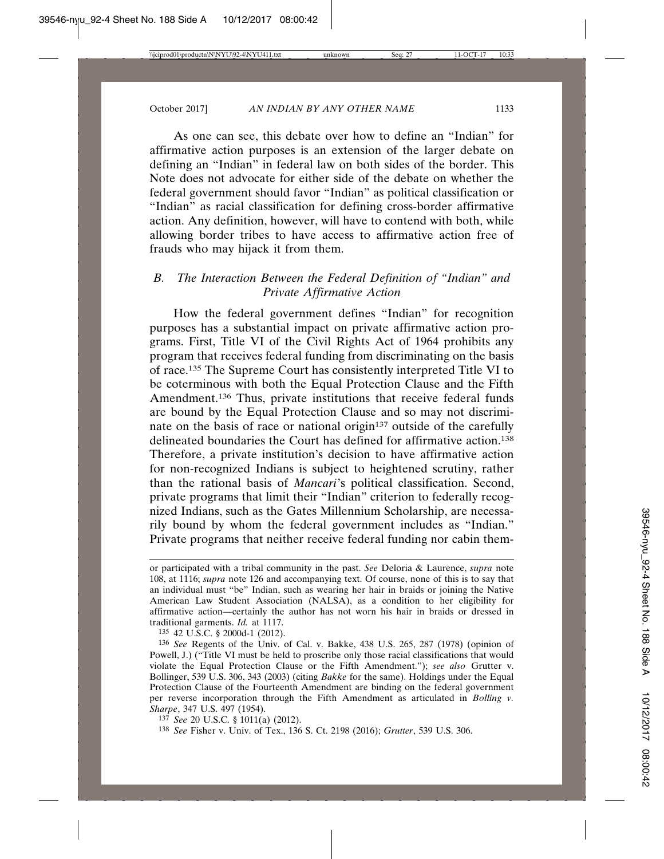As one can see, this debate over how to define an "Indian" for affirmative action purposes is an extension of the larger debate on defining an "Indian" in federal law on both sides of the border. This Note does not advocate for either side of the debate on whether the federal government should favor "Indian" as political classification or "Indian" as racial classification for defining cross-border affirmative action. Any definition, however, will have to contend with both, while allowing border tribes to have access to affirmative action free of frauds who may hijack it from them.

# *B. The Interaction Between the Federal Definition of "Indian" and Private Affirmative Action*

How the federal government defines "Indian" for recognition purposes has a substantial impact on private affirmative action programs. First, Title VI of the Civil Rights Act of 1964 prohibits any program that receives federal funding from discriminating on the basis of race.135 The Supreme Court has consistently interpreted Title VI to be coterminous with both the Equal Protection Clause and the Fifth Amendment.136 Thus, private institutions that receive federal funds are bound by the Equal Protection Clause and so may not discriminate on the basis of race or national origin<sup>137</sup> outside of the carefully delineated boundaries the Court has defined for affirmative action.138 Therefore, a private institution's decision to have affirmative action for non-recognized Indians is subject to heightened scrutiny, rather than the rational basis of *Mancari*'s political classification. Second, private programs that limit their "Indian" criterion to federally recognized Indians, such as the Gates Millennium Scholarship, are necessarily bound by whom the federal government includes as "Indian." Private programs that neither receive federal funding nor cabin them-

135 42 U.S.C. § 2000d-1 (2012).

136 *See* Regents of the Univ. of Cal. v. Bakke, 438 U.S. 265, 287 (1978) (opinion of Powell, J.) ("Title VI must be held to proscribe only those racial classifications that would violate the Equal Protection Clause or the Fifth Amendment."); *see also* Grutter v. Bollinger, 539 U.S. 306, 343 (2003) (citing *Bakke* for the same). Holdings under the Equal Protection Clause of the Fourteenth Amendment are binding on the federal government per reverse incorporation through the Fifth Amendment as articulated in *Bolling v. Sharpe*, 347 U.S. 497 (1954).

137 *See* 20 U.S.C. § 1011(a) (2012).

138 *See* Fisher v. Univ. of Tex., 136 S. Ct. 2198 (2016); *Grutter*, 539 U.S. 306.

or participated with a tribal community in the past. *See* Deloria & Laurence, *supra* note 108, at 1116; *supra* note 126 and accompanying text. Of course, none of this is to say that an individual must "be" Indian, such as wearing her hair in braids or joining the Native American Law Student Association (NALSA), as a condition to her eligibility for affirmative action—certainly the author has not worn his hair in braids or dressed in traditional garments. *Id.* at 1117.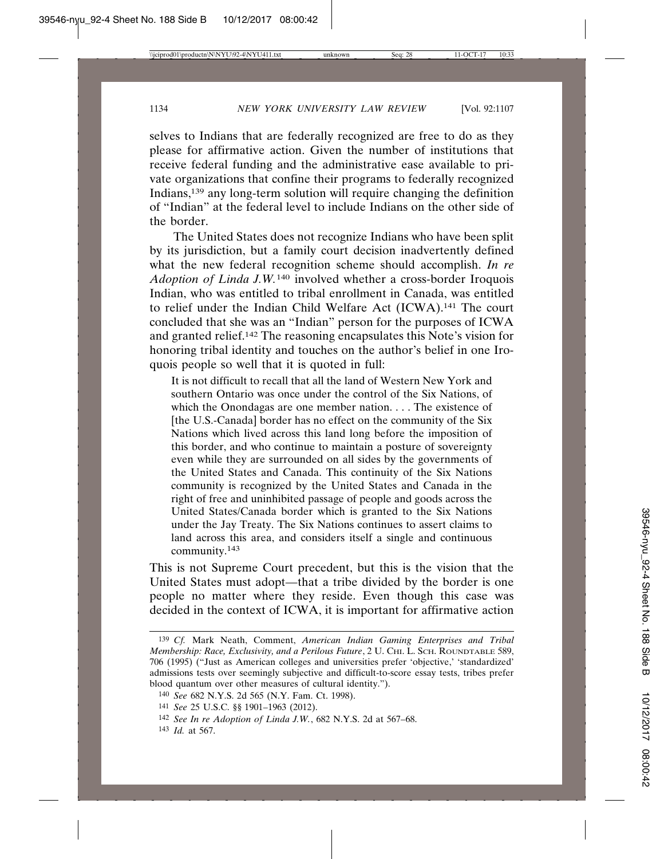selves to Indians that are federally recognized are free to do as they please for affirmative action. Given the number of institutions that receive federal funding and the administrative ease available to private organizations that confine their programs to federally recognized Indians,139 any long-term solution will require changing the definition of "Indian" at the federal level to include Indians on the other side of the border.

The United States does not recognize Indians who have been split by its jurisdiction, but a family court decision inadvertently defined what the new federal recognition scheme should accomplish. *In re Adoption of Linda J.W.*140 involved whether a cross-border Iroquois Indian, who was entitled to tribal enrollment in Canada, was entitled to relief under the Indian Child Welfare Act (ICWA).141 The court concluded that she was an "Indian" person for the purposes of ICWA and granted relief.142 The reasoning encapsulates this Note's vision for honoring tribal identity and touches on the author's belief in one Iroquois people so well that it is quoted in full:

It is not difficult to recall that all the land of Western New York and southern Ontario was once under the control of the Six Nations, of which the Onondagas are one member nation. . . . The existence of [the U.S.-Canada] border has no effect on the community of the Six Nations which lived across this land long before the imposition of this border, and who continue to maintain a posture of sovereignty even while they are surrounded on all sides by the governments of the United States and Canada. This continuity of the Six Nations community is recognized by the United States and Canada in the right of free and uninhibited passage of people and goods across the United States/Canada border which is granted to the Six Nations under the Jay Treaty. The Six Nations continues to assert claims to land across this area, and considers itself a single and continuous community.143

This is not Supreme Court precedent, but this is the vision that the United States must adopt—that a tribe divided by the border is one people no matter where they reside. Even though this case was decided in the context of ICWA, it is important for affirmative action

<sup>139</sup> *Cf.* Mark Neath, Comment, *American Indian Gaming Enterprises and Tribal Membership: Race, Exclusivity, and a Perilous Future*, 2 U. CHI. L. SCH. ROUNDTABLE 589, 706 (1995) ("Just as American colleges and universities prefer 'objective,' 'standardized' admissions tests over seemingly subjective and difficult-to-score essay tests, tribes prefer blood quantum over other measures of cultural identity.").

<sup>140</sup> *See* 682 N.Y.S. 2d 565 (N.Y. Fam. Ct. 1998).

<sup>141</sup> *See* 25 U.S.C. §§ 1901–1963 (2012).

<sup>142</sup> *See In re Adoption of Linda J.W.*, 682 N.Y.S. 2d at 567–68.

<sup>143</sup> *Id.* at 567.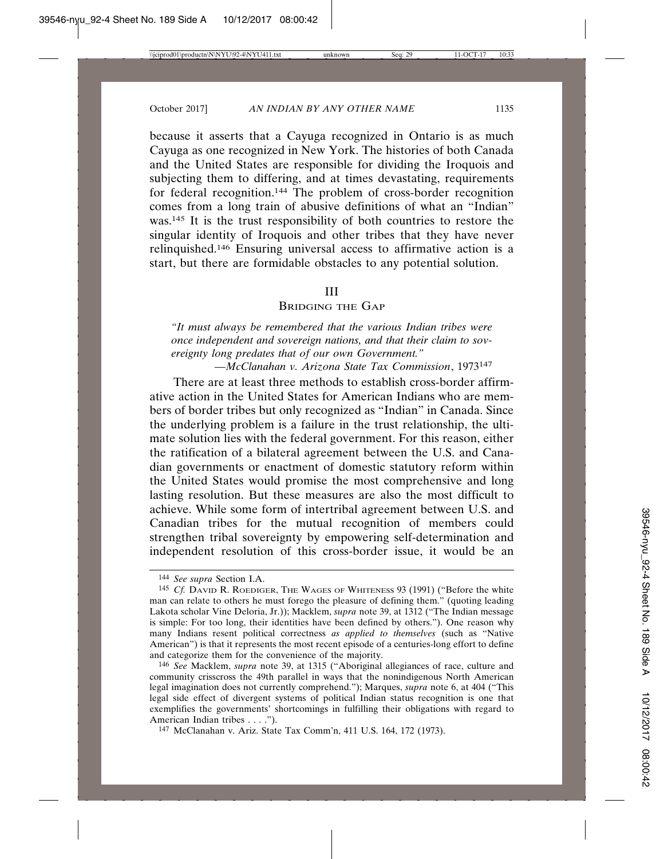because it asserts that a Cayuga recognized in Ontario is as much Cayuga as one recognized in New York. The histories of both Canada and the United States are responsible for dividing the Iroquois and subjecting them to differing, and at times devastating, requirements for federal recognition.144 The problem of cross-border recognition comes from a long train of abusive definitions of what an "Indian" was.<sup>145</sup> It is the trust responsibility of both countries to restore the singular identity of Iroquois and other tribes that they have never relinquished.146 Ensuring universal access to affirmative action is a start, but there are formidable obstacles to any potential solution.

#### III

### BRIDGING THE GAP

*"It must always be remembered that the various Indian tribes were once independent and sovereign nations, and that their claim to sovereignty long predates that of our own Government."*

*—McClanahan v. Arizona State Tax Commission*, 1973<sup>147</sup>

There are at least three methods to establish cross-border affirmative action in the United States for American Indians who are members of border tribes but only recognized as "Indian" in Canada. Since the underlying problem is a failure in the trust relationship, the ultimate solution lies with the federal government. For this reason, either the ratification of a bilateral agreement between the U.S. and Canadian governments or enactment of domestic statutory reform within the United States would promise the most comprehensive and long lasting resolution. But these measures are also the most difficult to achieve. While some form of intertribal agreement between U.S. and Canadian tribes for the mutual recognition of members could strengthen tribal sovereignty by empowering self-determination and independent resolution of this cross-border issue, it would be an

<sup>144</sup> *See supra* Section I.A.

<sup>145</sup> *Cf.* DAVID R. ROEDIGER, THE WAGES OF WHITENESS 93 (1991) ("Before the white man can relate to others he must forego the pleasure of defining them." (quoting leading Lakota scholar Vine Deloria, Jr.)); Macklem, *supra* note 39, at 1312 ("The Indian message is simple: For too long, their identities have been defined by others."). One reason why many Indians resent political correctness *as applied to themselves* (such as "Native American") is that it represents the most recent episode of a centuries-long effort to define and categorize them for the convenience of the majority.

<sup>146</sup> *See* Macklem, *supra* note 39, at 1315 ("Aboriginal allegiances of race, culture and community crisscross the 49th parallel in ways that the nonindigenous North American legal imagination does not currently comprehend."); Marques, *supra* note 6, at 404 ("This legal side effect of divergent systems of political Indian status recognition is one that exemplifies the governments' shortcomings in fulfilling their obligations with regard to American Indian tribes . . . .").

<sup>147</sup> McClanahan v. Ariz. State Tax Comm'n, 411 U.S. 164, 172 (1973).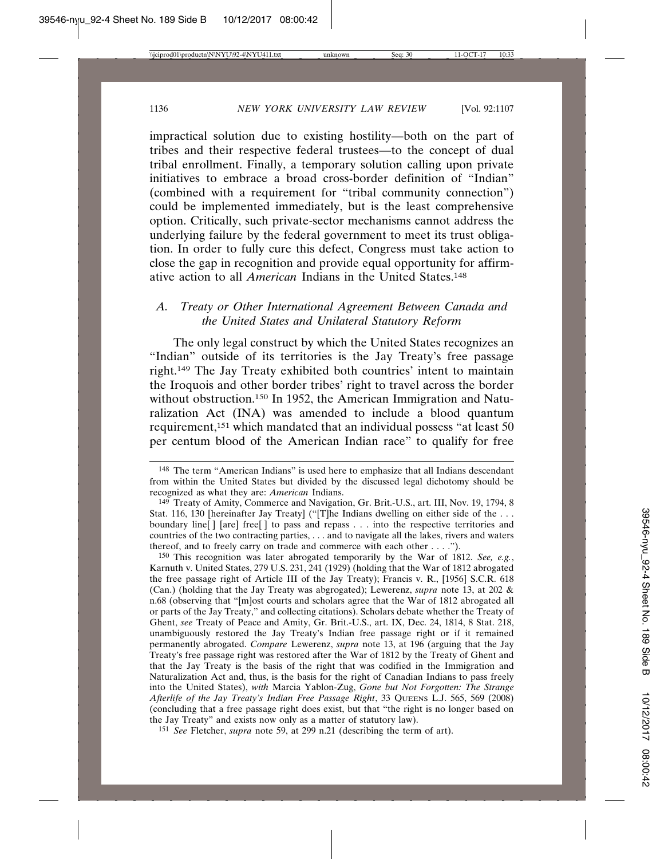impractical solution due to existing hostility—both on the part of tribes and their respective federal trustees—to the concept of dual tribal enrollment. Finally, a temporary solution calling upon private initiatives to embrace a broad cross-border definition of "Indian" (combined with a requirement for "tribal community connection") could be implemented immediately, but is the least comprehensive option. Critically, such private-sector mechanisms cannot address the underlying failure by the federal government to meet its trust obligation. In order to fully cure this defect, Congress must take action to close the gap in recognition and provide equal opportunity for affirmative action to all *American* Indians in the United States.148

# *A. Treaty or Other International Agreement Between Canada and the United States and Unilateral Statutory Reform*

The only legal construct by which the United States recognizes an "Indian" outside of its territories is the Jay Treaty's free passage right.149 The Jay Treaty exhibited both countries' intent to maintain the Iroquois and other border tribes' right to travel across the border without obstruction.<sup>150</sup> In 1952, the American Immigration and Naturalization Act (INA) was amended to include a blood quantum requirement,151 which mandated that an individual possess "at least 50 per centum blood of the American Indian race" to qualify for free

150 This recognition was later abrogated temporarily by the War of 1812. *See, e.g.*, Karnuth v. United States, 279 U.S. 231, 241 (1929) (holding that the War of 1812 abrogated the free passage right of Article III of the Jay Treaty); Francis v. R., [1956] S.C.R. 618 (Can.) (holding that the Jay Treaty was abgrogated); Lewerenz, *supra* note 13, at 202 & n.68 (observing that "[m]ost courts and scholars agree that the War of 1812 abrogated all or parts of the Jay Treaty," and collecting citations). Scholars debate whether the Treaty of Ghent, *see* Treaty of Peace and Amity, Gr. Brit.-U.S., art. IX, Dec. 24, 1814, 8 Stat. 218, unambiguously restored the Jay Treaty's Indian free passage right or if it remained permanently abrogated. *Compare* Lewerenz, *supra* note 13, at 196 (arguing that the Jay Treaty's free passage right was restored after the War of 1812 by the Treaty of Ghent and that the Jay Treaty is the basis of the right that was codified in the Immigration and Naturalization Act and, thus, is the basis for the right of Canadian Indians to pass freely into the United States), *with* Marcia Yablon-Zug, *Gone but Not Forgotten: The Strange Afterlife of the Jay Treaty's Indian Free Passage Right*, 33 QUEENS L.J. 565, 569 (2008) (concluding that a free passage right does exist, but that "the right is no longer based on the Jay Treaty" and exists now only as a matter of statutory law).

151 *See* Fletcher, *supra* note 59, at 299 n.21 (describing the term of art).

<sup>148</sup> The term "American Indians" is used here to emphasize that all Indians descendant from within the United States but divided by the discussed legal dichotomy should be recognized as what they are: *American* Indians.

<sup>149</sup> Treaty of Amity, Commerce and Navigation, Gr. Brit.-U.S., art. III, Nov. 19, 1794, 8 Stat. 116, 130 [hereinafter Jay Treaty] ("[T]he Indians dwelling on either side of the ... boundary line [ ] [are] free [ ] to pass and repass . . . into the respective territories and countries of the two contracting parties, . . . and to navigate all the lakes, rivers and waters thereof, and to freely carry on trade and commerce with each other . . . .").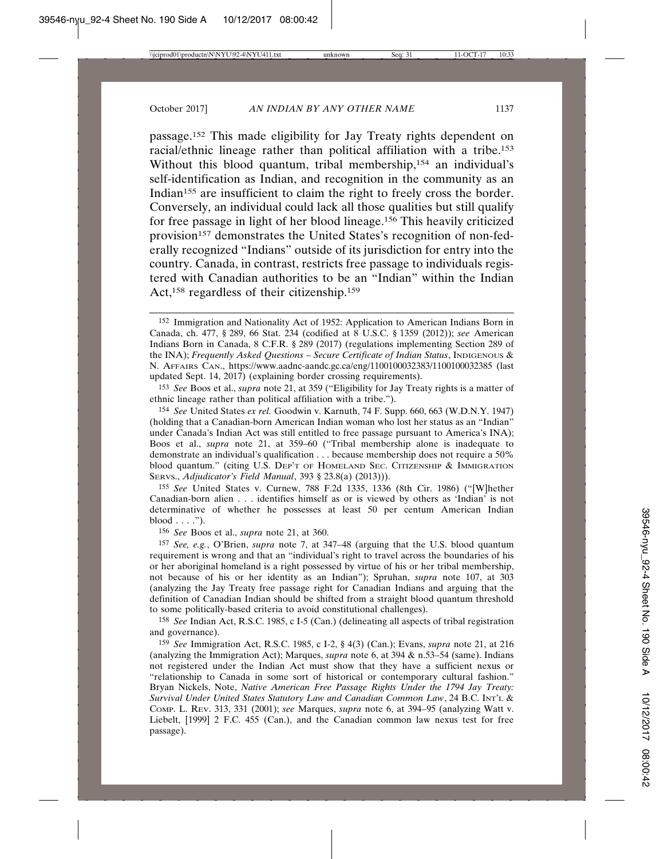passage.152 This made eligibility for Jay Treaty rights dependent on racial/ethnic lineage rather than political affiliation with a tribe.153 Without this blood quantum, tribal membership,<sup>154</sup> an individual's self-identification as Indian, and recognition in the community as an Indian<sup>155</sup> are insufficient to claim the right to freely cross the border. Conversely, an individual could lack all those qualities but still qualify for free passage in light of her blood lineage.156 This heavily criticized provision<sup>157</sup> demonstrates the United States's recognition of non-federally recognized "Indians" outside of its jurisdiction for entry into the country. Canada, in contrast, restricts free passage to individuals registered with Canadian authorities to be an "Indian" within the Indian Act,158 regardless of their citizenship.159

153 *See* Boos et al., *supra* note 21, at 359 ("Eligibility for Jay Treaty rights is a matter of ethnic lineage rather than political affiliation with a tribe.").

154 *See* United States *ex rel.* Goodwin v. Karnuth, 74 F. Supp. 660, 663 (W.D.N.Y. 1947) (holding that a Canadian-born American Indian woman who lost her status as an "Indian" under Canada's Indian Act was still entitled to free passage pursuant to America's INA); Boos et al., *supra* note 21, at 359–60 ("Tribal membership alone is inadequate to demonstrate an individual's qualification . . . because membership does not require a 50% blood quantum." (citing U.S. DEP'T OF HOMELAND SEC. CITIZENSHIP & IMMIGRATION SERVS., *Adjudicator's Field Manual*, 393 § 23.8(a) (2013))).

155 *See* United States v. Curnew, 788 F.2d 1335, 1336 (8th Cir. 1986) ("[W]hether Canadian-born alien . . . identifies himself as or is viewed by others as 'Indian' is not determinative of whether he possesses at least 50 per centum American Indian  $blood \ldots$ ").

156 *See* Boos et al., *supra* note 21, at 360.

157 *See, e.g.*, O'Brien, *supra* note 7, at 347–48 (arguing that the U.S. blood quantum requirement is wrong and that an "individual's right to travel across the boundaries of his or her aboriginal homeland is a right possessed by virtue of his or her tribal membership, not because of his or her identity as an Indian"); Spruhan, *supra* note 107, at 303 (analyzing the Jay Treaty free passage right for Canadian Indians and arguing that the definition of Canadian Indian should be shifted from a straight blood quantum threshold to some politically-based criteria to avoid constitutional challenges).

158 *See* Indian Act, R.S.C. 1985, c I-5 (Can.) (delineating all aspects of tribal registration and governance).

159 *See* Immigration Act, R.S.C. 1985, c I-2, § 4(3) (Can.); Evans, *supra* note 21, at 216 (analyzing the Immigration Act); Marques, *supra* note 6, at 394 & n.53–54 (same). Indians not registered under the Indian Act must show that they have a sufficient nexus or "relationship to Canada in some sort of historical or contemporary cultural fashion." Bryan Nickels, Note, *Native American Free Passage Rights Under the 1794 Jay Treaty: Survival Under United States Statutory Law and Canadian Common Law*, 24 B.C. INT'L & COMP. L. REV. 313, 331 (2001); *see* Marques, *supra* note 6, at 394–95 (analyzing Watt v. Liebelt, [1999] 2 F.C. 455 (Can.), and the Canadian common law nexus test for free passage).

<sup>152</sup> Immigration and Nationality Act of 1952: Application to American Indians Born in Canada, ch. 477, § 289, 66 Stat. 234 (codified at 8 U.S.C. § 1359 (2012)); *see* American Indians Born in Canada, 8 C.F.R. § 289 (2017) (regulations implementing Section 289 of the INA); *Frequently Asked Questions – Secure Certificate of Indian Status*, INDIGENOUS & N. AFFAIRS CAN., https://www.aadnc-aandc.gc.ca/eng/1100100032383/1100100032385 (last updated Sept. 14, 2017) (explaining border crossing requirements).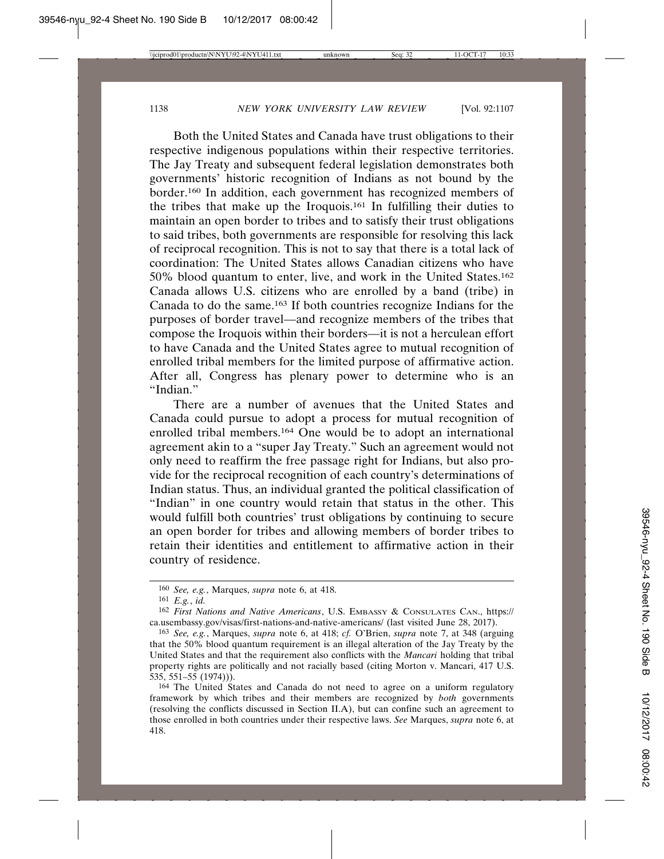Both the United States and Canada have trust obligations to their respective indigenous populations within their respective territories. The Jay Treaty and subsequent federal legislation demonstrates both governments' historic recognition of Indians as not bound by the border.160 In addition, each government has recognized members of the tribes that make up the Iroquois.161 In fulfilling their duties to maintain an open border to tribes and to satisfy their trust obligations to said tribes, both governments are responsible for resolving this lack of reciprocal recognition. This is not to say that there is a total lack of coordination: The United States allows Canadian citizens who have 50% blood quantum to enter, live, and work in the United States.162 Canada allows U.S. citizens who are enrolled by a band (tribe) in Canada to do the same.163 If both countries recognize Indians for the purposes of border travel—and recognize members of the tribes that compose the Iroquois within their borders—it is not a herculean effort to have Canada and the United States agree to mutual recognition of enrolled tribal members for the limited purpose of affirmative action. After all, Congress has plenary power to determine who is an "Indian."

There are a number of avenues that the United States and Canada could pursue to adopt a process for mutual recognition of enrolled tribal members.164 One would be to adopt an international agreement akin to a "super Jay Treaty." Such an agreement would not only need to reaffirm the free passage right for Indians, but also provide for the reciprocal recognition of each country's determinations of Indian status. Thus, an individual granted the political classification of "Indian" in one country would retain that status in the other. This would fulfill both countries' trust obligations by continuing to secure an open border for tribes and allowing members of border tribes to retain their identities and entitlement to affirmative action in their country of residence.

<sup>160</sup> *See, e.g.*, Marques, *supra* note 6, at 418.

<sup>161</sup> *E.g.*, *id.*

<sup>162</sup> *First Nations and Native Americans*, U.S. EMBASSY & CONSULATES CAN., https:// ca.usembassy.gov/visas/first-nations-and-native-americans/ (last visited June 28, 2017).

<sup>163</sup> *See, e.g.*, Marques, *supra* note 6, at 418; *cf.* O'Brien, *supra* note 7, at 348 (arguing that the 50% blood quantum requirement is an illegal alteration of the Jay Treaty by the United States and that the requirement also conflicts with the *Mancari* holding that tribal property rights are politically and not racially based (citing Morton v. Mancari, 417 U.S. 535, 551–55 (1974))).

<sup>164</sup> The United States and Canada do not need to agree on a uniform regulatory framework by which tribes and their members are recognized by *both* governments (resolving the conflicts discussed in Section II.A), but can confine such an agreement to those enrolled in both countries under their respective laws. *See* Marques, *supra* note 6, at 418.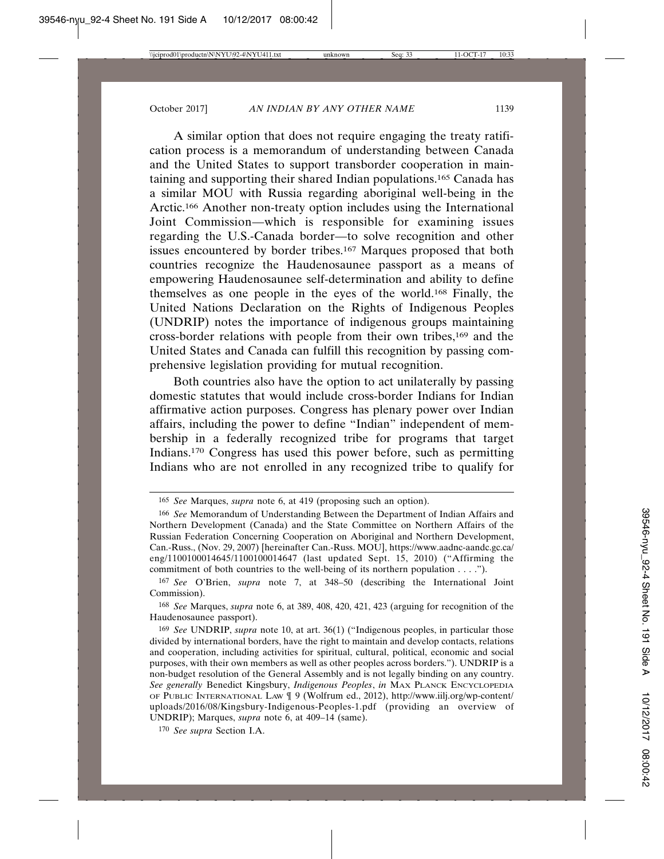A similar option that does not require engaging the treaty ratification process is a memorandum of understanding between Canada and the United States to support transborder cooperation in maintaining and supporting their shared Indian populations.165 Canada has a similar MOU with Russia regarding aboriginal well-being in the Arctic.166 Another non-treaty option includes using the International Joint Commission—which is responsible for examining issues regarding the U.S.-Canada border—to solve recognition and other issues encountered by border tribes.167 Marques proposed that both countries recognize the Haudenosaunee passport as a means of empowering Haudenosaunee self-determination and ability to define themselves as one people in the eyes of the world.168 Finally, the United Nations Declaration on the Rights of Indigenous Peoples (UNDRIP) notes the importance of indigenous groups maintaining cross-border relations with people from their own tribes,169 and the United States and Canada can fulfill this recognition by passing comprehensive legislation providing for mutual recognition.

Both countries also have the option to act unilaterally by passing domestic statutes that would include cross-border Indians for Indian affirmative action purposes. Congress has plenary power over Indian affairs, including the power to define "Indian" independent of membership in a federally recognized tribe for programs that target Indians.170 Congress has used this power before, such as permitting Indians who are not enrolled in any recognized tribe to qualify for

168 *See* Marques, *supra* note 6, at 389, 408, 420, 421, 423 (arguing for recognition of the Haudenosaunee passport).

<sup>165</sup> *See* Marques, *supra* note 6, at 419 (proposing such an option).

<sup>166</sup> *See* Memorandum of Understanding Between the Department of Indian Affairs and Northern Development (Canada) and the State Committee on Northern Affairs of the Russian Federation Concerning Cooperation on Aboriginal and Northern Development, Can.-Russ., (Nov. 29, 2007) [hereinafter Can.-Russ. MOU], https://www.aadnc-aandc.gc.ca/ eng/1100100014645/1100100014647 (last updated Sept. 15, 2010) ("Affirming the commitment of both countries to the well-being of its northern population . . . .").

<sup>167</sup> *See* O'Brien, *supra* note 7, at 348–50 (describing the International Joint Commission).

<sup>169</sup> *See* UNDRIP, *supra* note 10, at art. 36(1) ("Indigenous peoples, in particular those divided by international borders, have the right to maintain and develop contacts, relations and cooperation, including activities for spiritual, cultural, political, economic and social purposes, with their own members as well as other peoples across borders."). UNDRIP is a non-budget resolution of the General Assembly and is not legally binding on any country. *See generally* Benedict Kingsbury, *Indigenous Peoples*, *in* MAX PLANCK ENCYCLOPEDIA OF PUBLIC INTERNATIONAL LAW ¶ 9 (Wolfrum ed., 2012), http://www.iilj.org/wp-content/ uploads/2016/08/Kingsbury-Indigenous-Peoples-1.pdf (providing an overview of UNDRIP); Marques, *supra* note 6, at 409–14 (same).

<sup>170</sup> *See supra* Section I.A.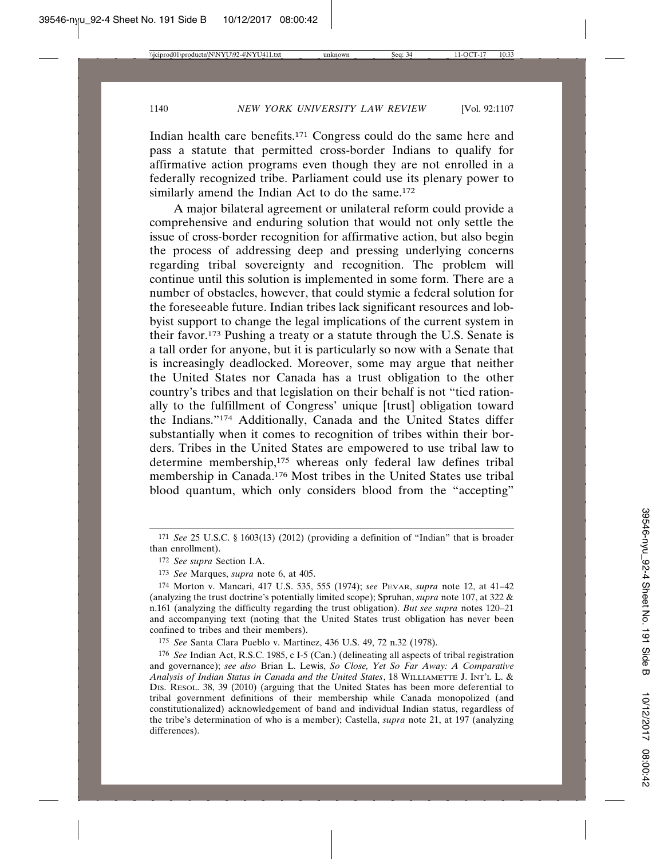Indian health care benefits.171 Congress could do the same here and pass a statute that permitted cross-border Indians to qualify for affirmative action programs even though they are not enrolled in a federally recognized tribe. Parliament could use its plenary power to similarly amend the Indian Act to do the same.<sup>172</sup>

A major bilateral agreement or unilateral reform could provide a comprehensive and enduring solution that would not only settle the issue of cross-border recognition for affirmative action, but also begin the process of addressing deep and pressing underlying concerns regarding tribal sovereignty and recognition. The problem will continue until this solution is implemented in some form. There are a number of obstacles, however, that could stymie a federal solution for the foreseeable future. Indian tribes lack significant resources and lobbyist support to change the legal implications of the current system in their favor.173 Pushing a treaty or a statute through the U.S. Senate is a tall order for anyone, but it is particularly so now with a Senate that is increasingly deadlocked. Moreover, some may argue that neither the United States nor Canada has a trust obligation to the other country's tribes and that legislation on their behalf is not "tied rationally to the fulfillment of Congress' unique [trust] obligation toward the Indians."174 Additionally, Canada and the United States differ substantially when it comes to recognition of tribes within their borders. Tribes in the United States are empowered to use tribal law to determine membership,175 whereas only federal law defines tribal membership in Canada.176 Most tribes in the United States use tribal blood quantum, which only considers blood from the "accepting"

175 *See* Santa Clara Pueblo v. Martinez, 436 U.S. 49, 72 n.32 (1978).

<sup>171</sup> *See* 25 U.S.C. § 1603(13) (2012) (providing a definition of "Indian" that is broader than enrollment).

<sup>172</sup> *See supra* Section I.A.

<sup>173</sup> *See* Marques, *supra* note 6, at 405.

<sup>174</sup> Morton v. Mancari, 417 U.S. 535, 555 (1974); *see* PEVAR, *supra* note 12, at 41–42 (analyzing the trust doctrine's potentially limited scope); Spruhan, *supra* note 107, at 322 & n.161 (analyzing the difficulty regarding the trust obligation). *But see supra* notes 120–21 and accompanying text (noting that the United States trust obligation has never been confined to tribes and their members).

<sup>176</sup> *See* Indian Act, R.S.C. 1985, c I-5 (Can.) (delineating all aspects of tribal registration and governance); *see also* Brian L. Lewis, *So Close, Yet So Far Away: A Comparative Analysis of Indian Status in Canada and the United States*, 18 WILLIAMETTE J. INT'L L. & DIS. RESOL. 38, 39 (2010) (arguing that the United States has been more deferential to tribal government definitions of their membership while Canada monopolized (and constitutionalized) acknowledgement of band and individual Indian status, regardless of the tribe's determination of who is a member); Castella, *supra* note 21, at 197 (analyzing differences).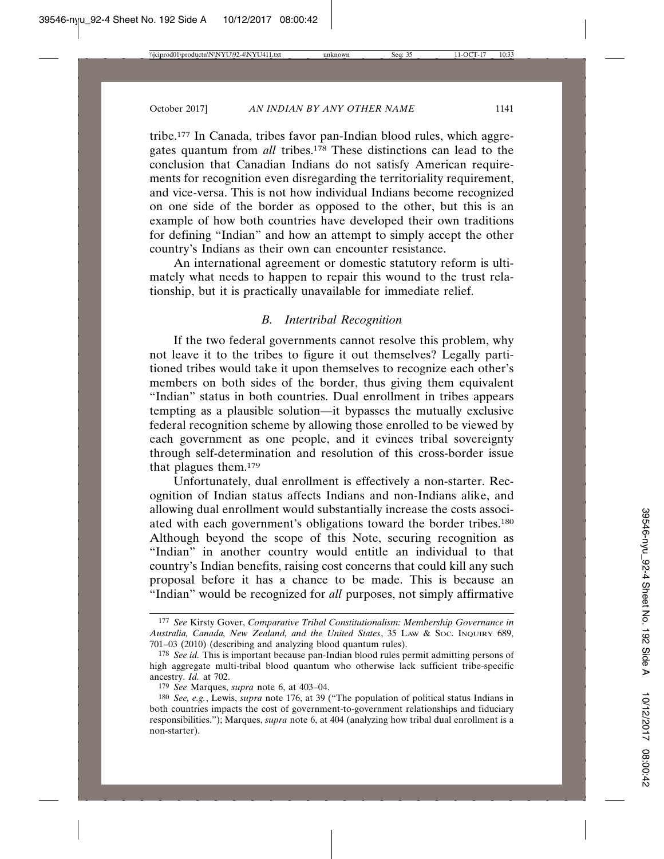tribe.177 In Canada, tribes favor pan-Indian blood rules, which aggregates quantum from *all* tribes.178 These distinctions can lead to the conclusion that Canadian Indians do not satisfy American requirements for recognition even disregarding the territoriality requirement, and vice-versa. This is not how individual Indians become recognized on one side of the border as opposed to the other, but this is an example of how both countries have developed their own traditions for defining "Indian" and how an attempt to simply accept the other country's Indians as their own can encounter resistance.

An international agreement or domestic statutory reform is ultimately what needs to happen to repair this wound to the trust relationship, but it is practically unavailable for immediate relief.

### *B. Intertribal Recognition*

If the two federal governments cannot resolve this problem, why not leave it to the tribes to figure it out themselves? Legally partitioned tribes would take it upon themselves to recognize each other's members on both sides of the border, thus giving them equivalent "Indian" status in both countries. Dual enrollment in tribes appears tempting as a plausible solution—it bypasses the mutually exclusive federal recognition scheme by allowing those enrolled to be viewed by each government as one people, and it evinces tribal sovereignty through self-determination and resolution of this cross-border issue that plagues them.179

Unfortunately, dual enrollment is effectively a non-starter. Recognition of Indian status affects Indians and non-Indians alike, and allowing dual enrollment would substantially increase the costs associated with each government's obligations toward the border tribes.180 Although beyond the scope of this Note, securing recognition as "Indian" in another country would entitle an individual to that country's Indian benefits, raising cost concerns that could kill any such proposal before it has a chance to be made. This is because an "Indian" would be recognized for *all* purposes, not simply affirmative

<sup>177</sup> *See* Kirsty Gover, *Comparative Tribal Constitutionalism: Membership Governance in Australia, Canada, New Zealand, and the United States*, 35 LAW & SOC. INQUIRY 689, 701–03 (2010) (describing and analyzing blood quantum rules).

<sup>178</sup> *See id.* This is important because pan-Indian blood rules permit admitting persons of high aggregate multi-tribal blood quantum who otherwise lack sufficient tribe-specific ancestry. *Id.* at 702.

<sup>179</sup> *See* Marques, *supra* note 6, at 403–04.

<sup>180</sup> *See, e.g.*, Lewis, *supra* note 176, at 39 ("The population of political status Indians in both countries impacts the cost of government-to-government relationships and fiduciary responsibilities."); Marques, *supra* note 6, at 404 (analyzing how tribal dual enrollment is a non-starter).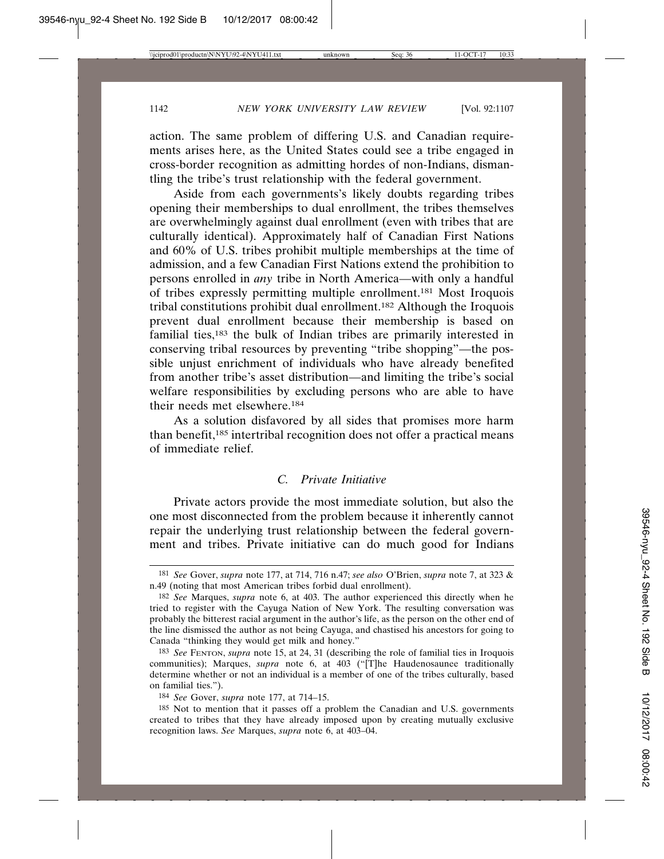action. The same problem of differing U.S. and Canadian requirements arises here, as the United States could see a tribe engaged in cross-border recognition as admitting hordes of non-Indians, dismantling the tribe's trust relationship with the federal government.

Aside from each governments's likely doubts regarding tribes opening their memberships to dual enrollment, the tribes themselves are overwhelmingly against dual enrollment (even with tribes that are culturally identical). Approximately half of Canadian First Nations and 60% of U.S. tribes prohibit multiple memberships at the time of admission, and a few Canadian First Nations extend the prohibition to persons enrolled in *any* tribe in North America—with only a handful of tribes expressly permitting multiple enrollment.181 Most Iroquois tribal constitutions prohibit dual enrollment.182 Although the Iroquois prevent dual enrollment because their membership is based on familial ties,183 the bulk of Indian tribes are primarily interested in conserving tribal resources by preventing "tribe shopping"—the possible unjust enrichment of individuals who have already benefited from another tribe's asset distribution—and limiting the tribe's social welfare responsibilities by excluding persons who are able to have their needs met elsewhere.184

As a solution disfavored by all sides that promises more harm than benefit,185 intertribal recognition does not offer a practical means of immediate relief.

# *C. Private Initiative*

Private actors provide the most immediate solution, but also the one most disconnected from the problem because it inherently cannot repair the underlying trust relationship between the federal government and tribes. Private initiative can do much good for Indians

<sup>181</sup> *See* Gover, *supra* note 177, at 714, 716 n.47; *see also* O'Brien, *supra* note 7, at 323 & n.49 (noting that most American tribes forbid dual enrollment).

<sup>182</sup> *See* Marques, *supra* note 6, at 403. The author experienced this directly when he tried to register with the Cayuga Nation of New York. The resulting conversation was probably the bitterest racial argument in the author's life, as the person on the other end of the line dismissed the author as not being Cayuga, and chastised his ancestors for going to Canada "thinking they would get milk and honey."

<sup>183</sup> *See* FENTON, *supra* note 15, at 24, 31 (describing the role of familial ties in Iroquois communities); Marques, *supra* note 6, at 403 ("[T]he Haudenosaunee traditionally determine whether or not an individual is a member of one of the tribes culturally, based on familial ties.").

<sup>184</sup> *See* Gover, *supra* note 177, at 714–15.

<sup>185</sup> Not to mention that it passes off a problem the Canadian and U.S. governments created to tribes that they have already imposed upon by creating mutually exclusive recognition laws. *See* Marques, *supra* note 6, at 403–04.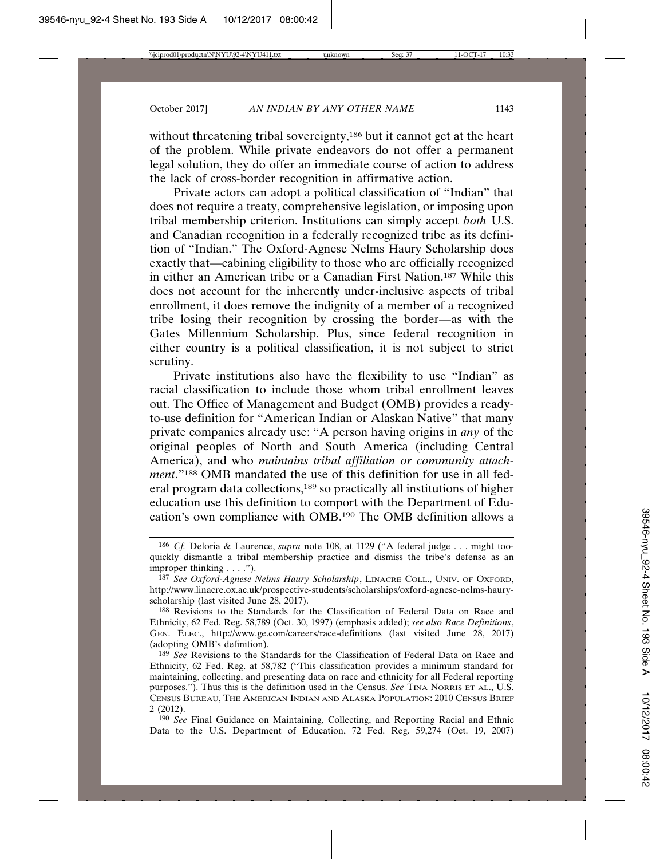without threatening tribal sovereignty,<sup>186</sup> but it cannot get at the heart of the problem. While private endeavors do not offer a permanent legal solution, they do offer an immediate course of action to address the lack of cross-border recognition in affirmative action.

Private actors can adopt a political classification of "Indian" that does not require a treaty, comprehensive legislation, or imposing upon tribal membership criterion. Institutions can simply accept *both* U.S. and Canadian recognition in a federally recognized tribe as its definition of "Indian." The Oxford-Agnese Nelms Haury Scholarship does exactly that—cabining eligibility to those who are officially recognized in either an American tribe or a Canadian First Nation.187 While this does not account for the inherently under-inclusive aspects of tribal enrollment, it does remove the indignity of a member of a recognized tribe losing their recognition by crossing the border—as with the Gates Millennium Scholarship. Plus, since federal recognition in either country is a political classification, it is not subject to strict scrutiny.

Private institutions also have the flexibility to use "Indian" as racial classification to include those whom tribal enrollment leaves out. The Office of Management and Budget (OMB) provides a readyto-use definition for "American Indian or Alaskan Native" that many private companies already use: "A person having origins in *any* of the original peoples of North and South America (including Central America), and who *maintains tribal affiliation or community attachment*."188 OMB mandated the use of this definition for use in all federal program data collections,189 so practically all institutions of higher education use this definition to comport with the Department of Education's own compliance with OMB.190 The OMB definition allows a

190 *See* Final Guidance on Maintaining, Collecting, and Reporting Racial and Ethnic Data to the U.S. Department of Education, 72 Fed. Reg. 59,274 (Oct. 19, 2007)

<sup>186</sup> *Cf.* Deloria & Laurence, *supra* note 108, at 1129 ("A federal judge . . . might tooquickly dismantle a tribal membership practice and dismiss the tribe's defense as an improper thinking . . . .").

<sup>187</sup> *See Oxford-Agnese Nelms Haury Scholarship*, LINACRE COLL., UNIV. OF OXFORD, http://www.linacre.ox.ac.uk/prospective-students/scholarships/oxford-agnese-nelms-hauryscholarship (last visited June 28, 2017).

<sup>188</sup> Revisions to the Standards for the Classification of Federal Data on Race and Ethnicity, 62 Fed. Reg. 58,789 (Oct. 30, 1997) (emphasis added); *see also Race Definitions*, GEN. ELEC., http://www.ge.com/careers/race-definitions (last visited June 28, 2017) (adopting OMB's definition).

<sup>189</sup> *See* Revisions to the Standards for the Classification of Federal Data on Race and Ethnicity, 62 Fed. Reg. at 58,782 ("This classification provides a minimum standard for maintaining, collecting, and presenting data on race and ethnicity for all Federal reporting purposes."). Thus this is the definition used in the Census. *See* TINA NORRIS ET AL., U.S. CENSUS BUREAU, THE AMERICAN INDIAN AND ALASKA POPULATION: 2010 CENSUS BRIEF 2 (2012).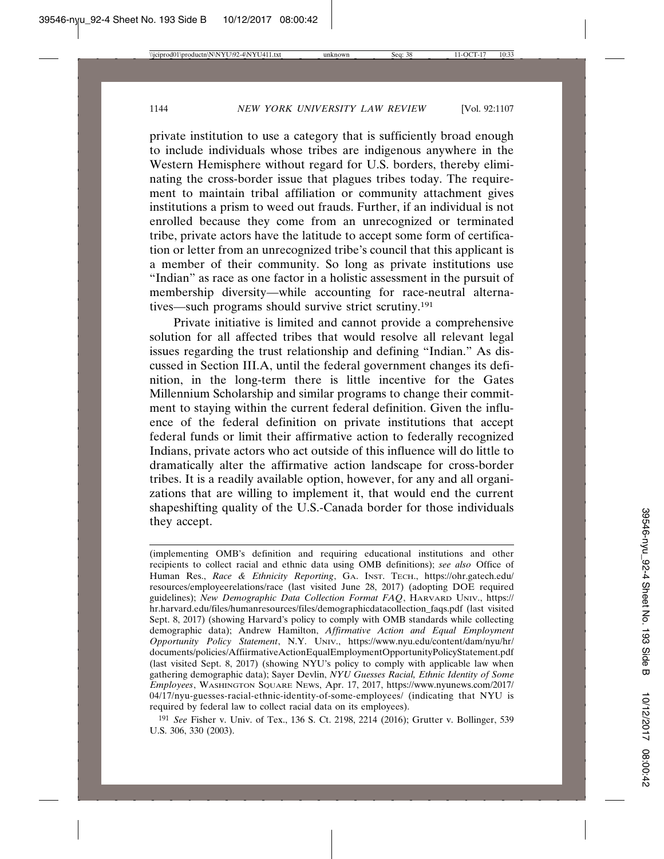private institution to use a category that is sufficiently broad enough to include individuals whose tribes are indigenous anywhere in the Western Hemisphere without regard for U.S. borders, thereby eliminating the cross-border issue that plagues tribes today. The requirement to maintain tribal affiliation or community attachment gives institutions a prism to weed out frauds. Further, if an individual is not enrolled because they come from an unrecognized or terminated tribe, private actors have the latitude to accept some form of certification or letter from an unrecognized tribe's council that this applicant is a member of their community. So long as private institutions use "Indian" as race as one factor in a holistic assessment in the pursuit of membership diversity—while accounting for race-neutral alternatives—such programs should survive strict scrutiny.191

Private initiative is limited and cannot provide a comprehensive solution for all affected tribes that would resolve all relevant legal issues regarding the trust relationship and defining "Indian." As discussed in Section III.A, until the federal government changes its definition, in the long-term there is little incentive for the Gates Millennium Scholarship and similar programs to change their commitment to staying within the current federal definition. Given the influence of the federal definition on private institutions that accept federal funds or limit their affirmative action to federally recognized Indians, private actors who act outside of this influence will do little to dramatically alter the affirmative action landscape for cross-border tribes. It is a readily available option, however, for any and all organizations that are willing to implement it, that would end the current shapeshifting quality of the U.S.-Canada border for those individuals they accept.

191 *See* Fisher v. Univ. of Tex., 136 S. Ct. 2198, 2214 (2016); Grutter v. Bollinger, 539 U.S. 306, 330 (2003).

<sup>(</sup>implementing OMB's definition and requiring educational institutions and other recipients to collect racial and ethnic data using OMB definitions); *see also* Office of Human Res., *Race & Ethnicity Reporting*, GA. INST. TECH., https://ohr.gatech.edu/ resources/employeerelations/race (last visited June 28, 2017) (adopting DOE required guidelines); *New Demographic Data Collection Format FAQ*, HARVARD UNIV., https:// hr.harvard.edu/files/humanresources/files/demographicdatacollection\_faqs.pdf (last visited Sept. 8, 2017) (showing Harvard's policy to comply with OMB standards while collecting demographic data); Andrew Hamilton, *Affirmative Action and Equal Employment Opportunity Policy Statement*, N.Y. UNIV., https://www.nyu.edu/content/dam/nyu/hr/ documents/policies/AffiirmativeActionEqualEmploymentOpportunityPolicyStatement.pdf (last visited Sept. 8, 2017) (showing NYU's policy to comply with applicable law when gathering demographic data); Sayer Devlin, *NYU Guesses Racial, Ethnic Identity of Some Employees*, WASHINGTON SQUARE NEWS, Apr. 17, 2017, https://www.nyunews.com/2017/ 04/17/nyu-guesses-racial-ethnic-identity-of-some-employees/ (indicating that NYU is required by federal law to collect racial data on its employees).